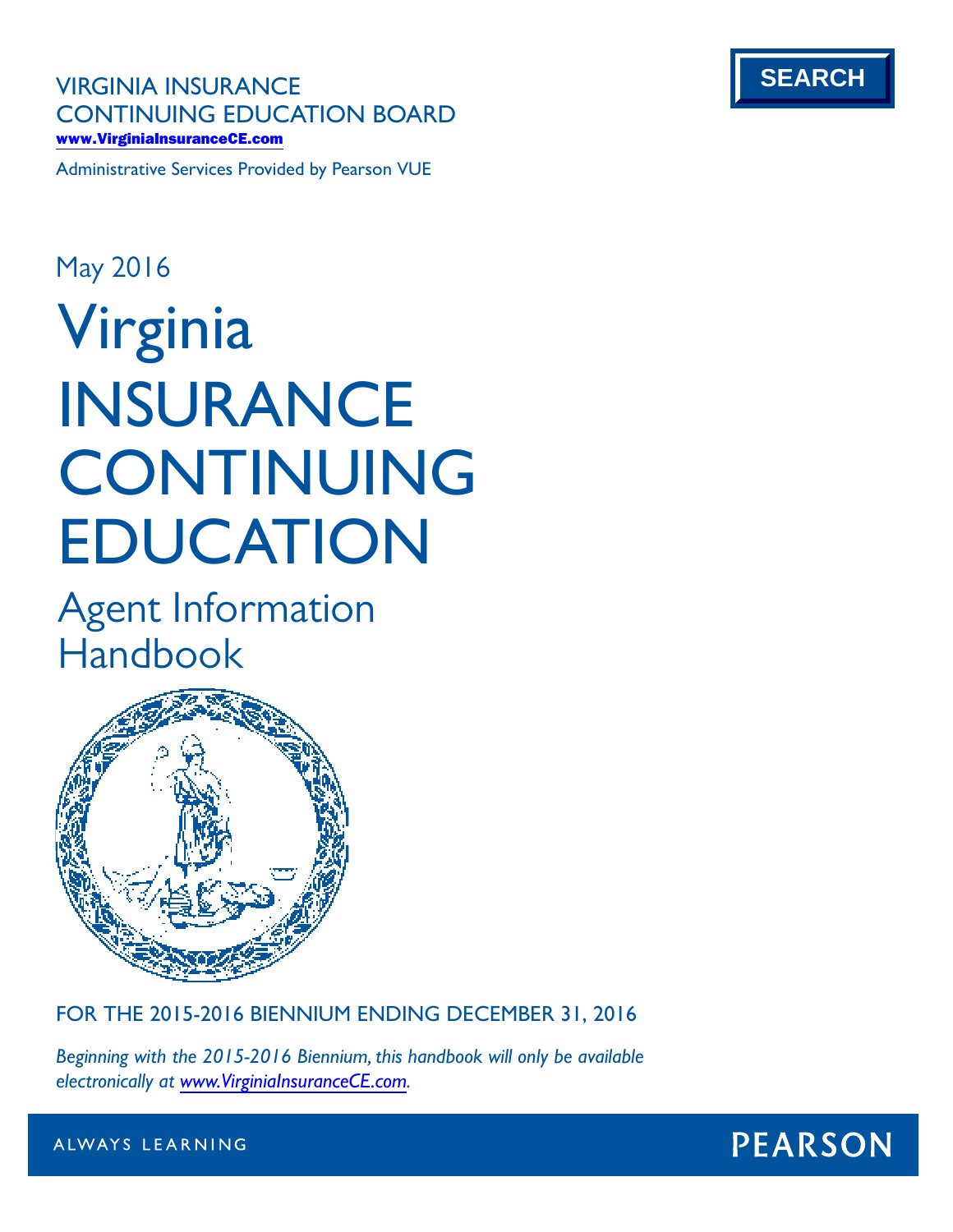**VIRGINIA INSURANCE CONTINUING EDUCATION BOARD** www.VirginiaInsuranceCE.com

Administrative Services Provided by Pearson VUE

# **Virginia INSURANCE CONTINUING EDUCATION** May 2016

Agent Information Handbook



**FOR THE 2015-2016 BIENNIUM ENDING DECEMBER 31, 2016**

*Beginning with the 2015-2016 Biennium, this handbook will only be available electronically at www.VirginiaInsuranceCE.com.*



ALWAYS LEARNING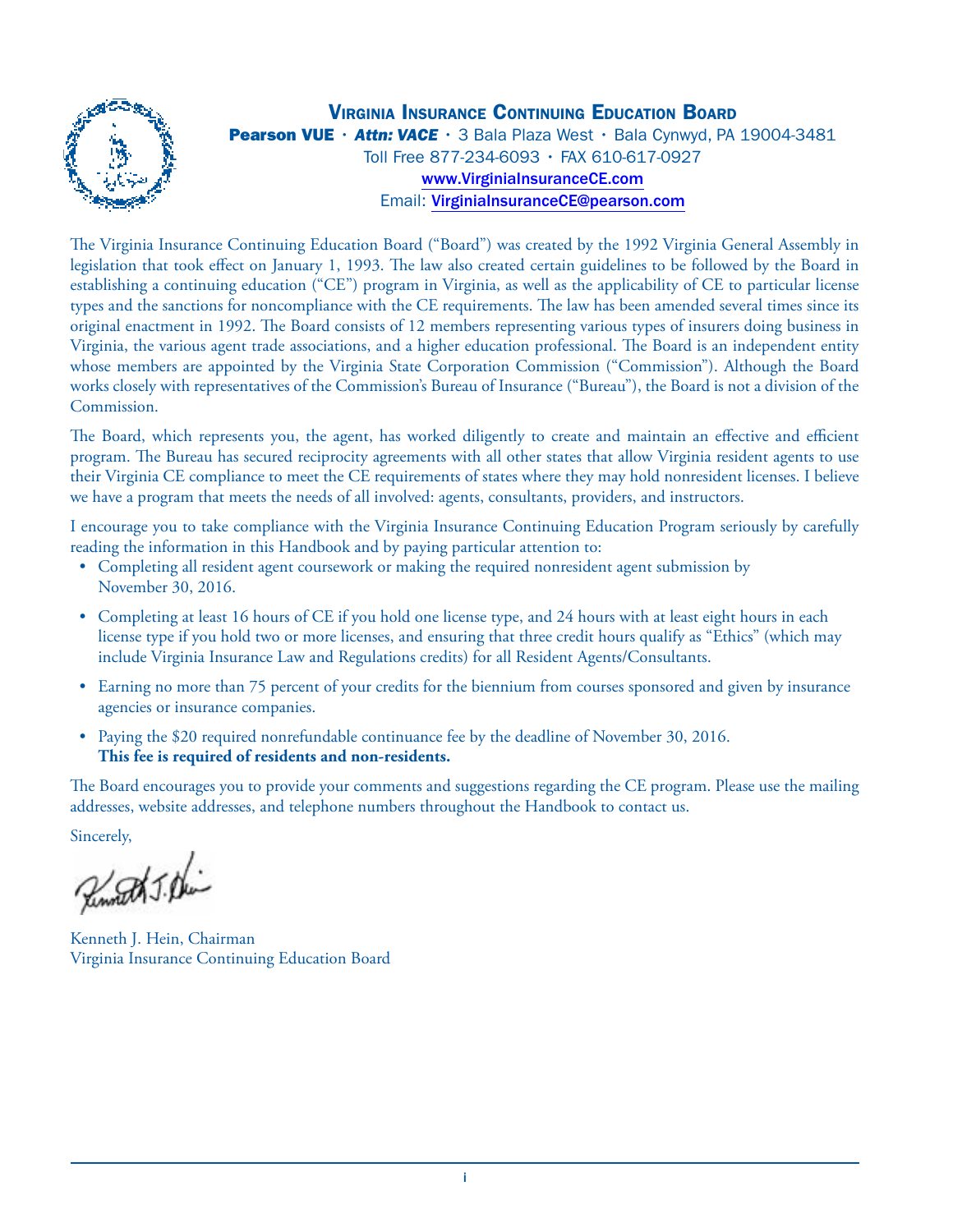

**VIRGINIA INSURANCE CONTINUING EDUCATION BOARD** Pearson VUE · Attn: VACE · 3 Bala Plaza West · Bala Cynwyd, PA 19004-3481 Toll Free 877-234-6093 • FAX 610-617-0927 www.VirginiaInsuranceCE.com Email: VirginiaInsuranceCE@pearson.com

The Virginia Insurance Continuing Education Board ("Board") was created by the 1992 Virginia General Assembly in legislation that took effect on January 1, 1993. The law also created certain guidelines to be followed by the Board in establishing a continuing education ("CE") program in Virginia, as well as the applicability of CE to particular license types and the sanctions for noncompliance with the CE requirements. The law has been amended several times since its original enactment in 1992. The Board consists of 12 members representing various types of insurers doing business in Virginia, the various agent trade associations, and a higher education professional. The Board is an independent entity whose members are appointed by the Virginia State Corporation Commission ("Commission"). Although the Board works closely with representatives of the Commission's Bureau of Insurance ("Bureau"), the Board is not a division of the Commission.

The Board, which represents you, the agent, has worked diligently to create and maintain an effective and efficient program. The Bureau has secured reciprocity agreements with all other states that allow Virginia resident agents to use their Virginia CE compliance to meet the CE requirements of states where they may hold nonresident licenses. I believe we have a program that meets the needs of all involved: agents, consultants, providers, and instructors.

I encourage you to take compliance with the Virginia Insurance Continuing Education Program seriously by carefully reading the information in this Handbook and by paying particular attention to:

- Completing all resident agent coursework or making the required nonresident agent submission by November 30, 2016.
- Completing at least 16 hours of CE if you hold one license type, and 24 hours with at least eight hours in each license type if you hold two or more licenses, and ensuring that three credit hours qualify as "Ethics" (which may include Virginia Insurance Law and Regulations credits) for all Resident Agents/Consultants.
- Earning no more than 75 percent of your credits for the biennium from courses sponsored and given by insurance agencies or insurance companies.
- Paying the \$20 required nonrefundable continuance fee by the deadline of November 30, 2016. **This fee is required of residents and non-residents.**

The Board encourages you to provide your comments and suggestions regarding the CE program. Please use the mailing addresses, website addresses, and telephone numbers throughout the Handbook to contact us.

Sincerely,

Remotel J. Dei-

Kenneth J. Hein, Chairman Virginia Insurance Continuing Education Board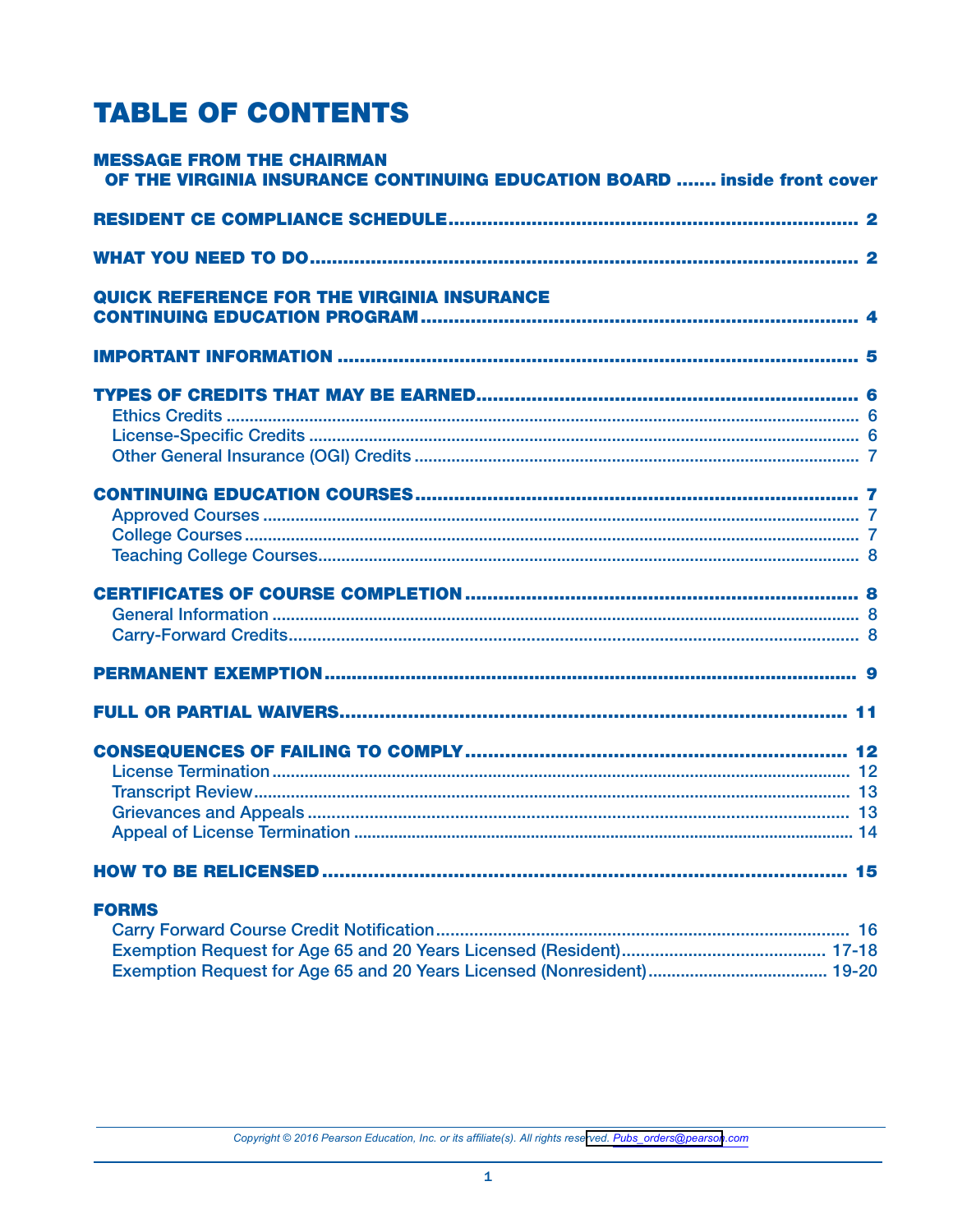# **TABLE OF CONTENTS**

| <b>MESSAGE FROM THE CHAIRMAN</b><br>OF THE VIRGINIA INSURANCE CONTINUING EDUCATION BOARD  inside front cover |  |
|--------------------------------------------------------------------------------------------------------------|--|
|                                                                                                              |  |
|                                                                                                              |  |
| <b>QUICK REFERENCE FOR THE VIRGINIA INSURANCE</b>                                                            |  |
|                                                                                                              |  |
|                                                                                                              |  |
|                                                                                                              |  |
|                                                                                                              |  |
|                                                                                                              |  |
|                                                                                                              |  |
|                                                                                                              |  |
|                                                                                                              |  |
| <b>FORMS</b>                                                                                                 |  |

Copyright © 2016 Pearson Education, Inc. or its affiliate(s). All rights reserved. Pubs\_orders@pearson.com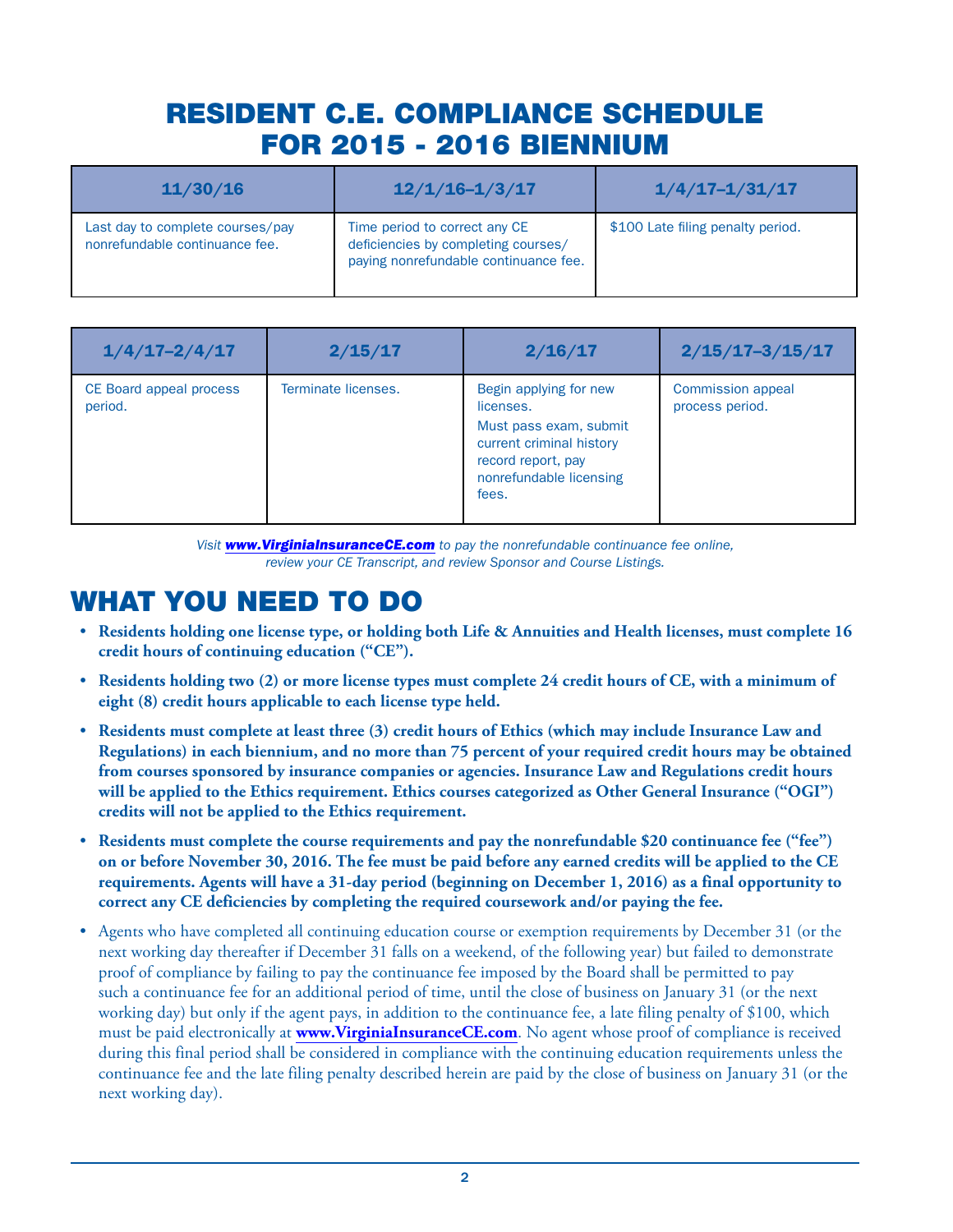# RESIDENT C.E. COMPLIANCE SCHEDULE FOR 2015 - 2016 BIENNIUM

| 11/30/16                                                           | $12/1/16 - 1/3/17$                                                                                            | $1/4/17 - 1/31/17$                |
|--------------------------------------------------------------------|---------------------------------------------------------------------------------------------------------------|-----------------------------------|
| Last day to complete courses/pay<br>nonrefundable continuance fee. | Time period to correct any CE<br>deficiencies by completing courses/<br>paying nonrefundable continuance fee. | \$100 Late filing penalty period. |

| $1/4/17 - 2/4/17$                  | 2/15/17             | 2/16/17                                                                                                                                             | $2/15/17 - 3/15/17$                         |
|------------------------------------|---------------------|-----------------------------------------------------------------------------------------------------------------------------------------------------|---------------------------------------------|
| CE Board appeal process<br>period. | Terminate licenses. | Begin applying for new<br>licenses.<br>Must pass exam, submit<br>current criminal history<br>record report, pay<br>nonrefundable licensing<br>fees. | <b>Commission appeal</b><br>process period. |

*Visit www.VirginiaInsuranceCE.com to pay the nonrefundable continuance fee online, review your CE Transcript, and review Sponsor and Course Listings.*

# WHAT YOU NEED TO DO

- **Residents holding one license type, or holding both Life & Annuities and Health licenses, must complete 16 credit hours of continuing education ("CE").**
- **Residents holding two (2) or more license types must complete 24 credit hours of CE, with a minimum of eight (8) credit hours applicable to each license type held.**
- **Residents must complete at least three (3) credit hours of Ethics (which may include Insurance Law and Regulations) in each biennium, and no more than 75 percent of your required credit hours may be obtained from courses sponsored by insurance companies or agencies. Insurance Law and Regulations credit hours will be applied to the Ethics requirement. Ethics courses categorized as Other General Insurance ("OGI") credits will not be applied to the Ethics requirement.**
- **Residents must complete the course requirements and pay the nonrefundable \$20 continuance fee ("fee") on or before November 30, 2016. The fee must be paid before any earned credits will be applied to the CE requirements. Agents will have a 31-day period (beginning on December 1, 2016) as a final opportunity to correct any CE deficiencies by completing the required coursework and/or paying the fee.**
- Agents who have completed all continuing education course or exemption requirements by December 31 (or the next working day thereafter if December 31 falls on a weekend, of the following year) but failed to demonstrate proof of compliance by failing to pay the continuance fee imposed by the Board shall be permitted to pay such a continuance fee for an additional period of time, until the close of business on January 31 (or the next working day) but only if the agent pays, in addition to the continuance fee, a late filing penalty of \$100, which must be paid electronically at **www.VirginiaInsuranceCE.com**. No agent whose proof of compliance is received during this final period shall be considered in compliance with the continuing education requirements unless the continuance fee and the late filing penalty described herein are paid by the close of business on January 31 (or the next working day).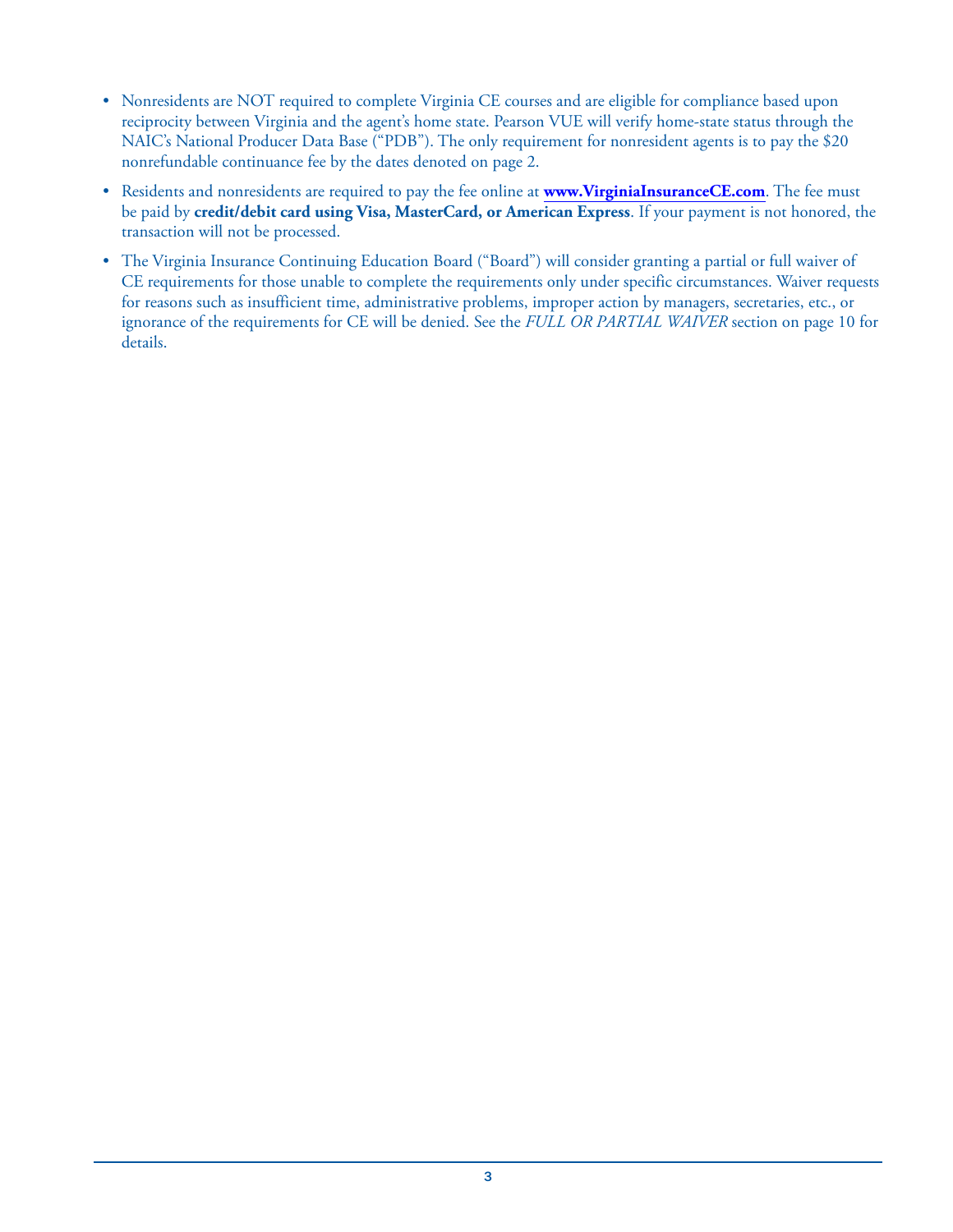- Nonresidents are NOT required to complete Virginia CE courses and are eligible for compliance based upon reciprocity between Virginia and the agent's home state. Pearson VUE will verify home-state status through the NAIC's National Producer Data Base ("PDB"). The only requirement for nonresident agents is to pay the \$20 nonrefundable continuance fee by the dates denoted on page 2.
- Residents and nonresidents are required to pay the fee online at **www.VirginiaInsuranceCE.com**. The fee must be paid by **credit/debit card using Visa, MasterCard, or American Express**. If your payment is not honored, the transaction will not be processed.
- The Virginia Insurance Continuing Education Board ("Board") will consider granting a partial or full waiver of CE requirements for those unable to complete the requirements only under specific circumstances. Waiver requests for reasons such as insufficient time, administrative problems, improper action by managers, secretaries, etc., or ignorance of the requirements for CE will be denied. See the *FULL OR PARTIAL WAIVER* section on page 10 for details.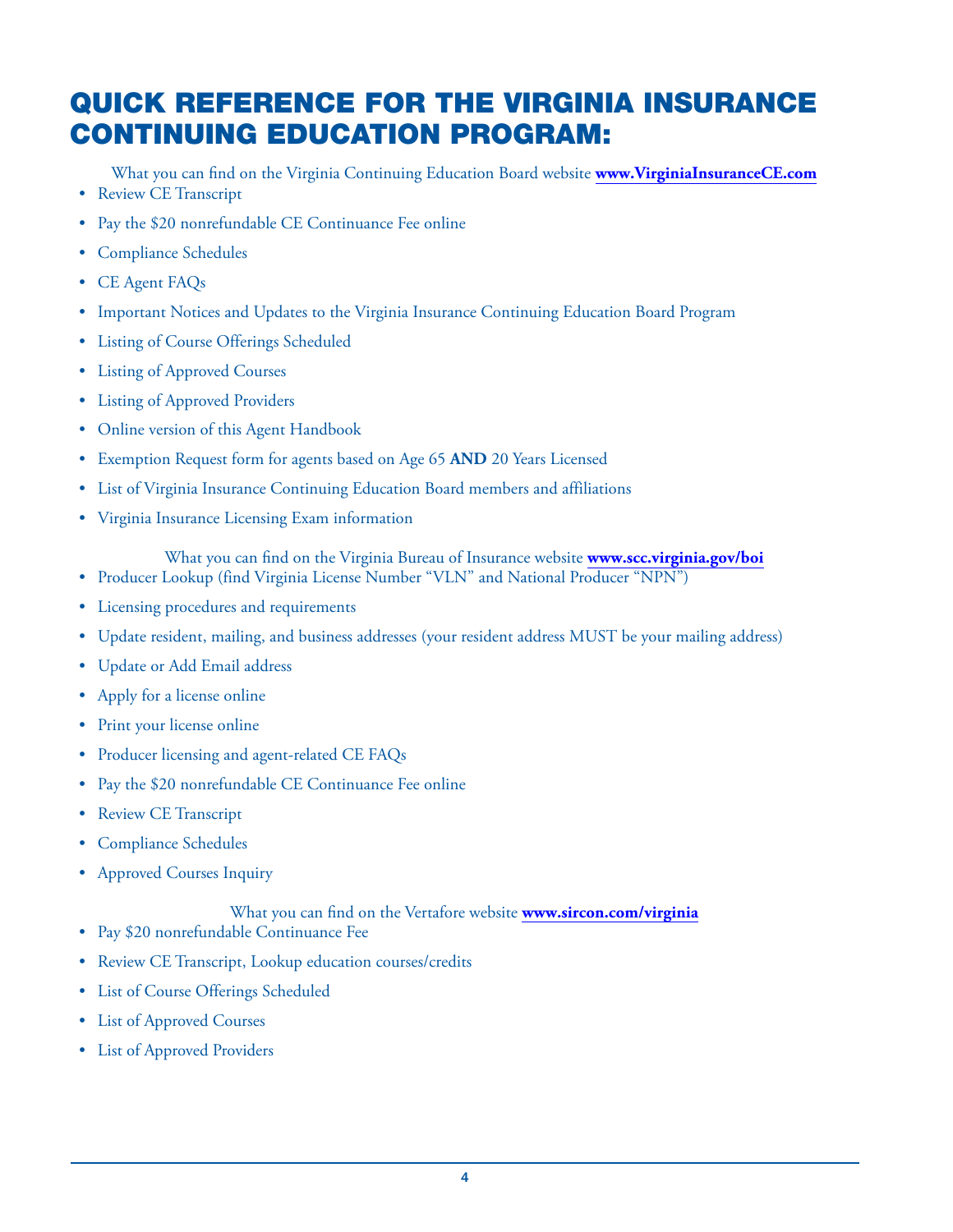# QUICK REFERENCE FOR THE VIRGINIA INSURANCE CONTINUING EDUCATION PROGRAM:

What you can find on the Virginia Continuing Education Board website **www.VirginiaInsuranceCE.com**

- Review CE Transcript
- Pay the \$20 nonrefundable CE Continuance Fee online
- Compliance Schedules
- CE Agent FAQs
- Important Notices and Updates to the Virginia Insurance Continuing Education Board Program
- Listing of Course Offerings Scheduled
- Listing of Approved Courses
- Listing of Approved Providers
- Online version of this Agent Handbook
- Exemption Request form for agents based on Age 65 **AND** 20 Years Licensed
- List of Virginia Insurance Continuing Education Board members and affiliations
- Virginia Insurance Licensing Exam information

What you can find on the Virginia Bureau of Insurance website **www.scc.virginia.gov/boi**

- Producer Lookup (find Virginia License Number "VLN" and National Producer "NPN")
- Licensing procedures and requirements
- Update resident, mailing, and business addresses (your resident address MUST be your mailing address)
- Update or Add Email address
- Apply for a license online
- Print your license online
- Producer licensing and agent-related CE FAQs
- Pay the \$20 nonrefundable CE Continuance Fee online
- Review CE Transcript
- Compliance Schedules
- Approved Courses Inquiry

### What you can find on the Vertafore website **www.sircon.com/virginia**

- Pay \$20 nonrefundable Continuance Fee
- Review CE Transcript, Lookup education courses/credits
- List of Course Offerings Scheduled
- List of Approved Courses
- List of Approved Providers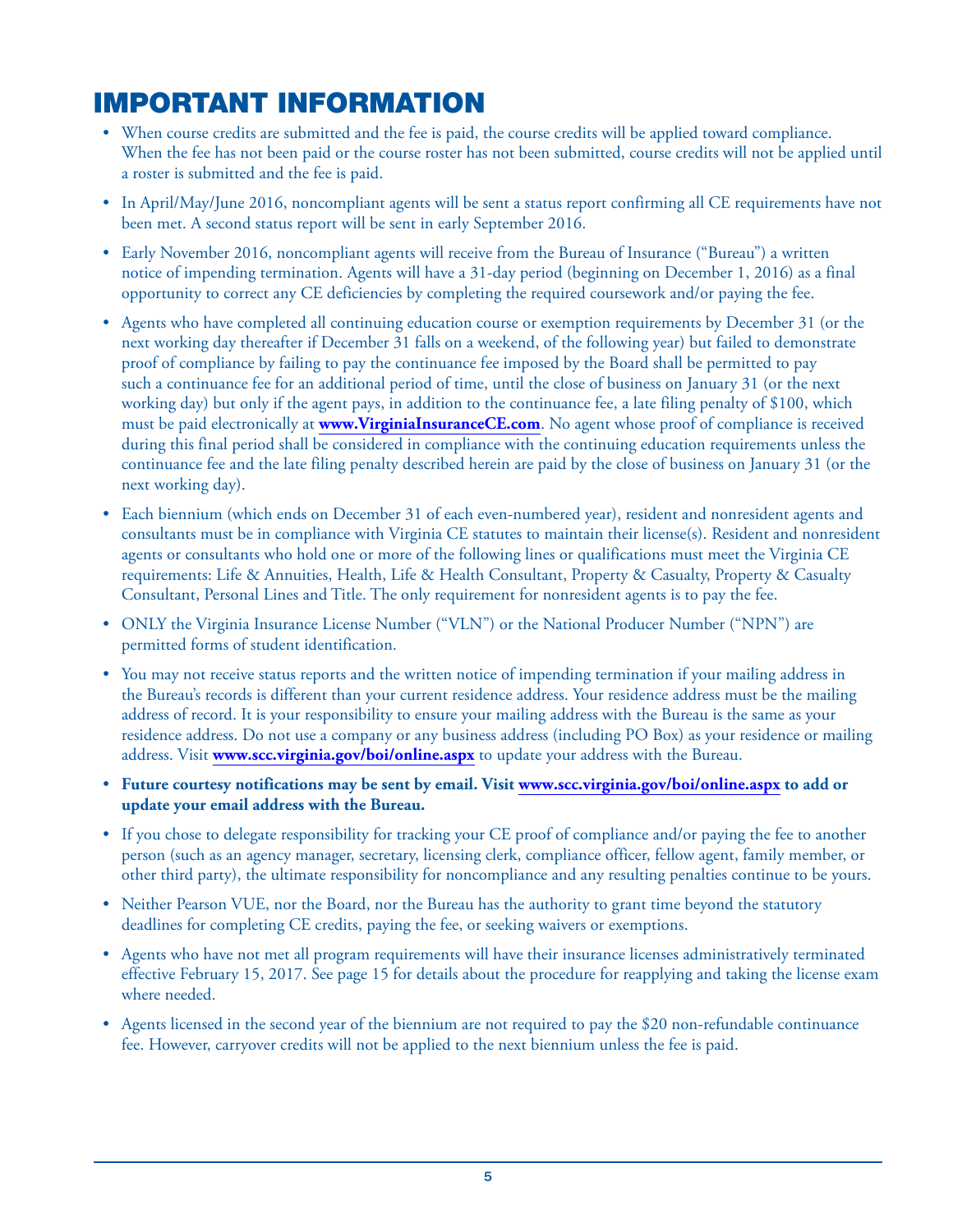# IMPORTANT INFORMATION

- When course credits are submitted and the fee is paid, the course credits will be applied toward compliance. When the fee has not been paid or the course roster has not been submitted, course credits will not be applied until a roster is submitted and the fee is paid.
- In April/May/June 2016, noncompliant agents will be sent a status report confirming all CE requirements have not been met. A second status report will be sent in early September 2016.
- Early November 2016, noncompliant agents will receive from the Bureau of Insurance ("Bureau") a written notice of impending termination. Agents will have a 31-day period (beginning on December 1, 2016) as a final opportunity to correct any CE deficiencies by completing the required coursework and/or paying the fee.
- Agents who have completed all continuing education course or exemption requirements by December 31 (or the next working day thereafter if December 31 falls on a weekend, of the following year) but failed to demonstrate proof of compliance by failing to pay the continuance fee imposed by the Board shall be permitted to pay such a continuance fee for an additional period of time, until the close of business on January 31 (or the next working day) but only if the agent pays, in addition to the continuance fee, a late filing penalty of \$100, which must be paid electronically at **www.VirginiaInsuranceCE.com**. No agent whose proof of compliance is received during this final period shall be considered in compliance with the continuing education requirements unless the continuance fee and the late filing penalty described herein are paid by the close of business on January 31 (or the next working day).
- Each biennium (which ends on December 31 of each even-numbered year), resident and nonresident agents and consultants must be in compliance with Virginia CE statutes to maintain their license(s). Resident and nonresident agents or consultants who hold one or more of the following lines or qualifications must meet the Virginia CE requirements: Life & Annuities, Health, Life & Health Consultant, Property & Casualty, Property & Casualty Consultant, Personal Lines and Title. The only requirement for nonresident agents is to pay the fee.
- ONLY the Virginia Insurance License Number ("VLN") or the National Producer Number ("NPN") are permitted forms of student identification.
- You may not receive status reports and the written notice of impending termination if your mailing address in the Bureau's records is different than your current residence address. Your residence address must be the mailing address of record. It is your responsibility to ensure your mailing address with the Bureau is the same as your residence address. Do not use a company or any business address (including PO Box) as your residence or mailing address. Visit **www.scc.virginia.gov/boi/online.aspx** to update your address with the Bureau.
- **Future courtesy notifications may be sent by email. Visit www.scc.virginia.gov/boi/online.aspx to add or update your email address with the Bureau.**
- If you chose to delegate responsibility for tracking your CE proof of compliance and/or paying the fee to another person (such as an agency manager, secretary, licensing clerk, compliance officer, fellow agent, family member, or other third party), the ultimate responsibility for noncompliance and any resulting penalties continue to be yours.
- Neither Pearson VUE, nor the Board, nor the Bureau has the authority to grant time beyond the statutory deadlines for completing CE credits, paying the fee, or seeking waivers or exemptions.
- Agents who have not met all program requirements will have their insurance licenses administratively terminated effective February 15, 2017. See page 15 for details about the procedure for reapplying and taking the license exam where needed.
- Agents licensed in the second year of the biennium are not required to pay the \$20 non-refundable continuance fee. However, carryover credits will not be applied to the next biennium unless the fee is paid.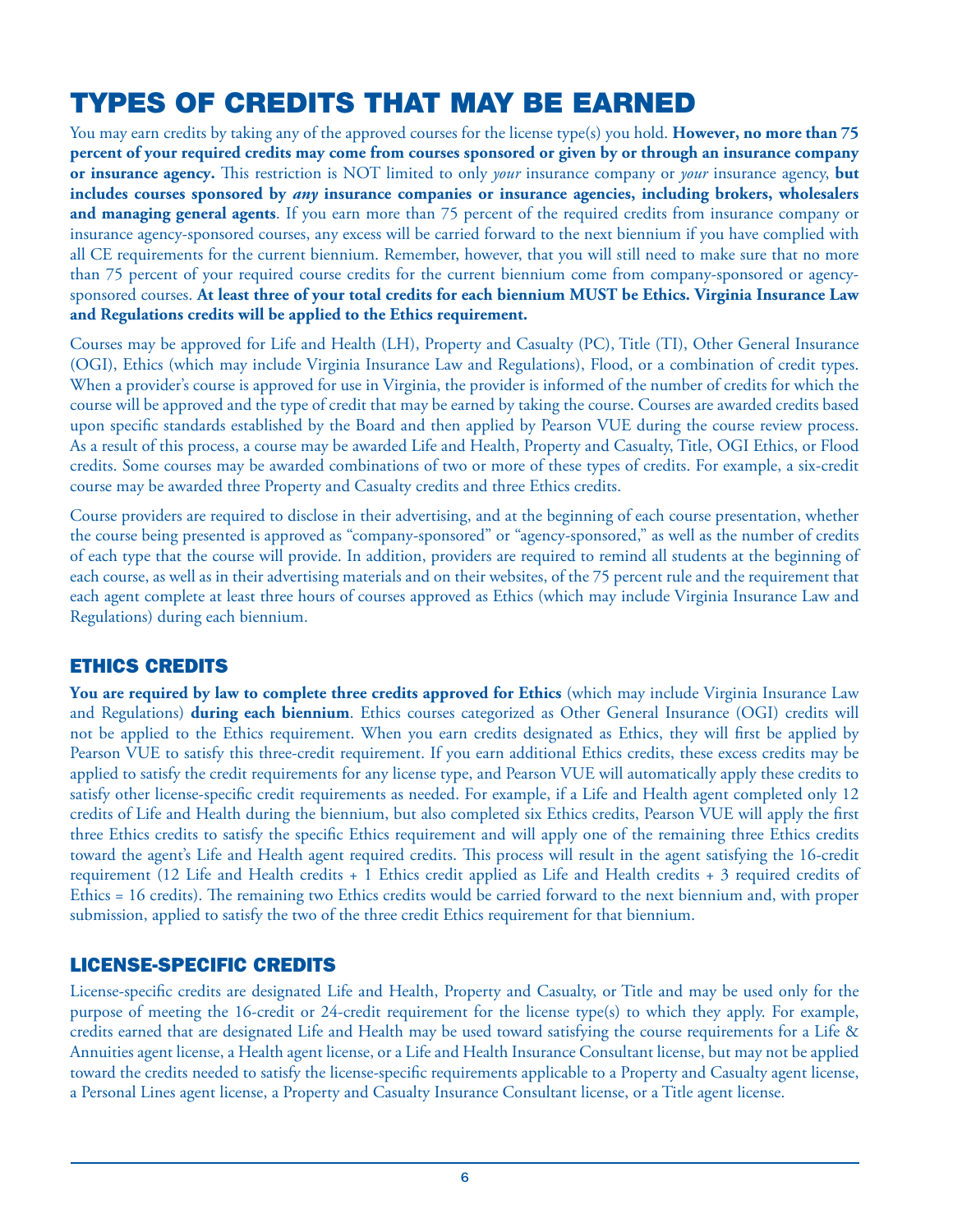# TYPES OF CREDITS THAT MAY BE EARNED

You may earn credits by taking any of the approved courses for the license type(s) you hold. **However, no more than** 75 **percent of your required credits may come from courses sponsored or given by or through an insurance company or insurance agency.** This restriction is NOT limited to only *your* insurance company or *your* insurance agency, **but includes courses sponsored by** *any* **insurance companies or insurance agencies, including brokers, wholesalers and managing general agents**. If you earn more than 75 percent of the required credits from insurance company or insurance agency-sponsored courses, any excess will be carried forward to the next biennium if you have complied with all CE requirements for the current biennium. Remember, however, that you will still need to make sure that no more than 75 percent of your required course credits for the current biennium come from company-sponsored or agencysponsored courses. **At least three of your total credits for each biennium MUST be Ethics. Virginia Insurance Law and Regulations credits will be applied to the Ethics requirement.**

Courses may be approved for Life and Health (LH), Property and Casualty (PC), Title (TI), Other General Insurance (OGI), Ethics (which may include Virginia Insurance Law and Regulations), Flood, or a combination of credit types. When a provider's course is approved for use in Virginia, the provider is informed of the number of credits for which the course will be approved and the type of credit that may be earned by taking the course. Courses are awarded credits based upon specific standards established by the Board and then applied by Pearson VUE during the course review process. As a result of this process, a course may be awarded Life and Health, Property and Casualty, Title, OGI Ethics, or Flood credits. Some courses may be awarded combinations of two or more of these types of credits. For example, a six-credit course may be awarded three Property and Casualty credits and three Ethics credits.

Course providers are required to disclose in their advertising, and at the beginning of each course presentation, whether the course being presented is approved as "company-sponsored" or "agency-sponsored," as well as the number of credits of each type that the course will provide. In addition, providers are required to remind all students at the beginning of each course, as well as in their advertising materials and on their websites, of the 75 percent rule and the requirement that each agent complete at least three hours of courses approved as Ethics (which may include Virginia Insurance Law and Regulations) during each biennium.

### ETHICS CREDITS

**You are required by law to complete three credits approved for Ethics** (which may include Virginia Insurance Law and Regulations) **during each biennium**. Ethics courses categorized as Other General Insurance (OGI) credits will not be applied to the Ethics requirement. When you earn credits designated as Ethics, they will first be applied by Pearson VUE to satisfy this three-credit requirement. If you earn additional Ethics credits, these excess credits may be applied to satisfy the credit requirements for any license type, and Pearson VUE will automatically apply these credits to satisfy other license-specific credit requirements as needed. For example, if a Life and Health agent completed only 12 credits of Life and Health during the biennium, but also completed six Ethics credits, Pearson VUE will apply the first three Ethics credits to satisfy the specific Ethics requirement and will apply one of the remaining three Ethics credits toward the agent's Life and Health agent required credits. This process will result in the agent satisfying the 16-credit requirement (12 Life and Health credits + 1 Ethics credit applied as Life and Health credits + 3 required credits of Ethics = 16 credits). The remaining two Ethics credits would be carried forward to the next biennium and, with proper submission, applied to satisfy the two of the three credit Ethics requirement for that biennium.

### LICENSE-SPECIFIC CREDITS

License-specific credits are designated Life and Health, Property and Casualty, or Title and may be used only for the purpose of meeting the 16-credit or 24-credit requirement for the license type(s) to which they apply. For example, credits earned that are designated Life and Health may be used toward satisfying the course requirements for a Life & Annuities agent license, a Health agent license, or a Life and Health Insurance Consultant license, but may not be applied toward the credits needed to satisfy the license-specific requirements applicable to a Property and Casualty agent license, a Personal Lines agent license, a Property and Casualty Insurance Consultant license, or a Title agent license.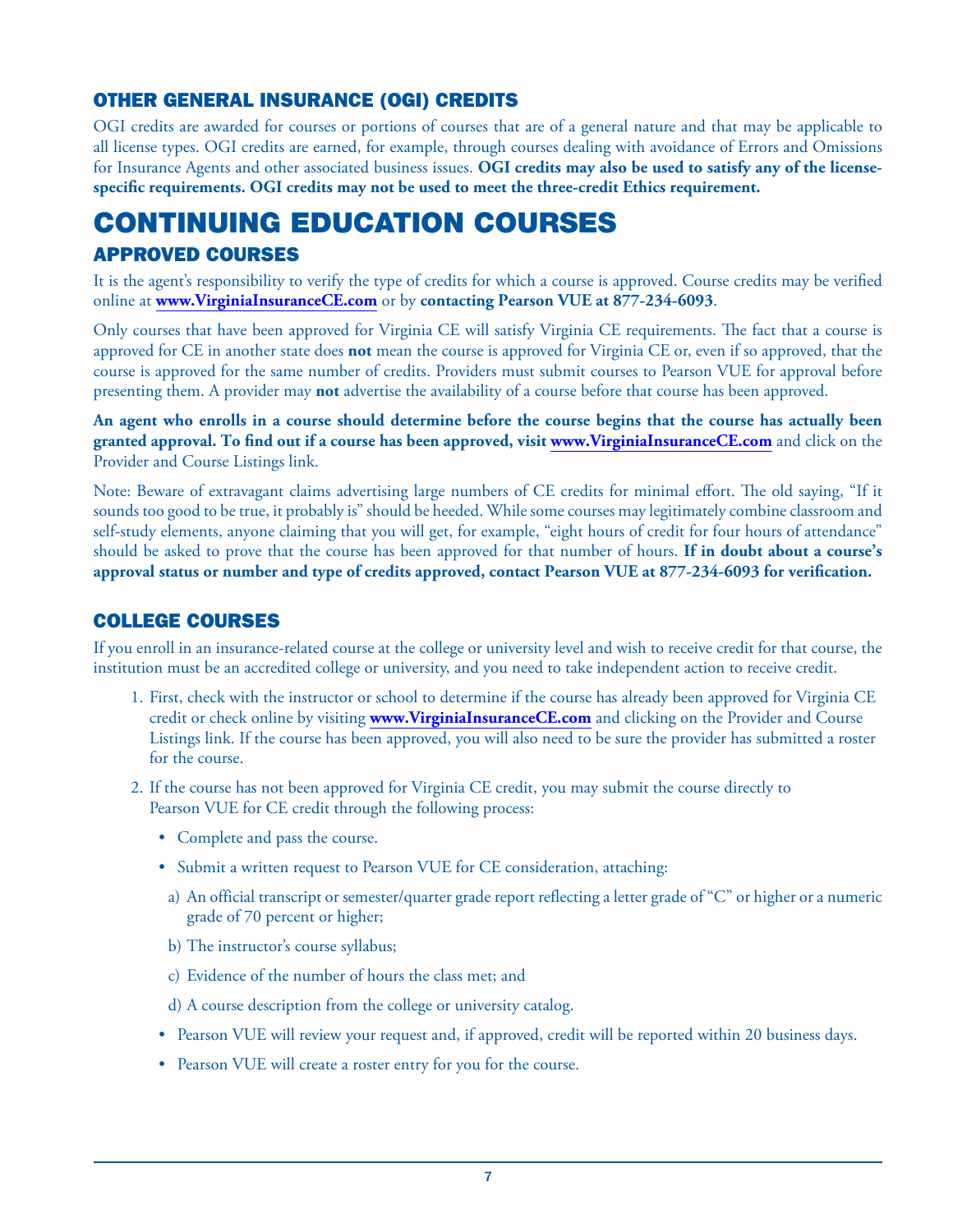### OTHER GENERAL INSURANCE (OGI) CREDITS

OGI credits are awarded for courses or portions of courses that are of a general nature and that may be applicable to all license types. OGI credits are earned, for example, through courses dealing with avoidance of Errors and Omissions for Insurance Agents and other associated business issues. **OGI credits may also be used to satisfy any of the licensespecific requirements. OGI credits may not be used to meet the three-credit Ethics requirement.**

# CONTINUING EDUCATION COURSES APPROVED COURSES

It is the agent's responsibility to verify the type of credits for which a course is approved. Course credits may be verified online at **www.VirginiaInsuranceCE.com** or by **contacting Pearson VUE at 877-234-6093**.

Only courses that have been approved for Virginia CE will satisfy Virginia CE requirements. The fact that a course is approved for CE in another state does **not** mean the course is approved for Virginia CE or, even if so approved, that the course is approved for the same number of credits. Providers must submit courses to Pearson VUE for approval before presenting them. A provider may **not** advertise the availability of a course before that course has been approved.

**An agent who enrolls in a course should determine before the course begins that the course has actually been granted approval. To find out if a course has been approved, visit www.VirginiaInsuranceCE.com** and click on the Provider and Course Listings link.

Note: Beware of extravagant claims advertising large numbers of CE credits for minimal effort. The old saying, "If it sounds too good to be true, it probably is" should be heeded. While some courses may legitimately combine classroom and self-study elements, anyone claiming that you will get, for example, "eight hours of credit for four hours of attendance" should be asked to prove that the course has been approved for that number of hours. **If in doubt about a course's approval status or number and type of credits approved, contact Pearson VUE at 877-234-6093 for verification.**

### COLLEGE COURSES

If you enroll in an insurance-related course at the college or university level and wish to receive credit for that course, the institution must be an accredited college or university, and you need to take independent action to receive credit.

- 1. First, check with the instructor or school to determine if the course has already been approved for Virginia CE credit or check online by visiting **www.VirginiaInsuranceCE.com** and clicking on the Provider and Course Listings link. If the course has been approved, you will also need to be sure the provider has submitted a roster for the course.
- 2. If the course has not been approved for Virginia CE credit, you may submit the course directly to Pearson VUE for CE credit through the following process:
	- Complete and pass the course.
	- Submit a written request to Pearson VUE for CE consideration, attaching:
	- a) An official transcript or semester/quarter grade report reflecting a letter grade of "C" or higher or a numeric grade of 70 percent or higher;
	- b) The instructor's course syllabus;
	- c) Evidence of the number of hours the class met; and
	- d) A course description from the college or university catalog.
	- Pearson VUE will review your request and, if approved, credit will be reported within 20 business days.
	- Pearson VUE will create a roster entry for you for the course.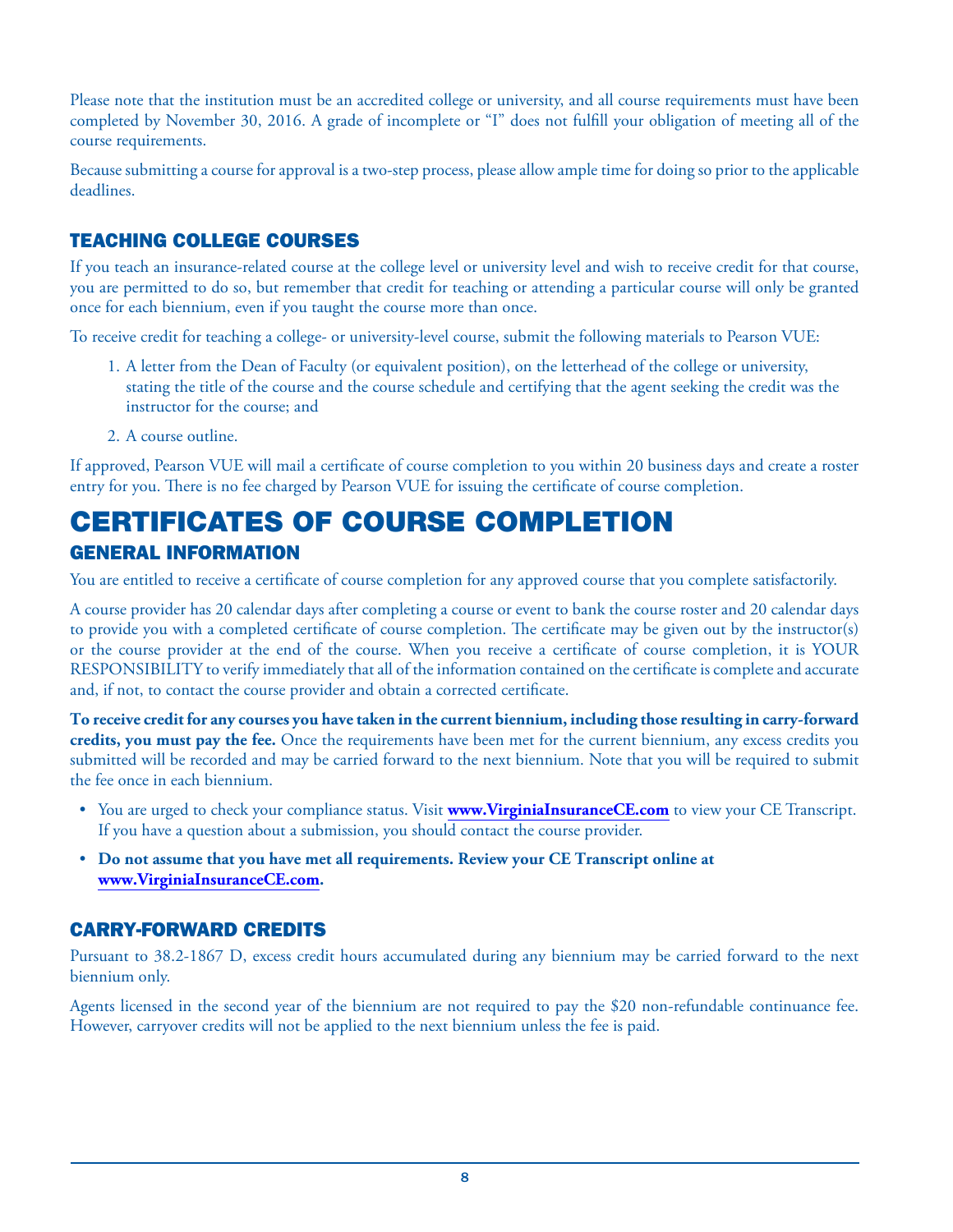Please note that the institution must be an accredited college or university, and all course requirements must have been completed by November 30, 2016. A grade of incomplete or "I" does not fulfill your obligation of meeting all of the course requirements.

Because submitting a course for approval is a two-step process, please allow ample time for doing so prior to the applicable deadlines.

### TEACHING COLLEGE COURSES

If you teach an insurance-related course at the college level or university level and wish to receive credit for that course, you are permitted to do so, but remember that credit for teaching or attending a particular course will only be granted once for each biennium, even if you taught the course more than once.

To receive credit for teaching a college- or university-level course, submit the following materials to Pearson VUE:

- 1. A letter from the Dean of Faculty (or equivalent position), on the letterhead of the college or university, stating the title of the course and the course schedule and certifying that the agent seeking the credit was the instructor for the course; and
- 2. A course outline.

If approved, Pearson VUE will mail a certificate of course completion to you within 20 business days and create a roster entry for you. There is no fee charged by Pearson VUE for issuing the certificate of course completion.

# CERTIFICATES OF COURSE COMPLETION

### GENERAL INFORMATION

You are entitled to receive a certificate of course completion for any approved course that you complete satisfactorily.

A course provider has 20 calendar days after completing a course or event to bank the course roster and 20 calendar days to provide you with a completed certificate of course completion. The certificate may be given out by the instructor(s) or the course provider at the end of the course. When you receive a certificate of course completion, it is YOUR RESPONSIBILITY to verify immediately that all of the information contained on the certificate is complete and accurate and, if not, to contact the course provider and obtain a corrected certificate.

**To receive credit for any courses you have taken in the current biennium, including those resulting in carry-forward credits, you must pay the fee.** Once the requirements have been met for the current biennium, any excess credits you submitted will be recorded and may be carried forward to the next biennium. Note that you will be required to submit the fee once in each biennium.

- You are urged to check your compliance status. Visit **www.VirginiaInsuranceCE.com** to view your CE Transcript. If you have a question about a submission, you should contact the course provider.
- **Do not assume that you have met all requirements. Review your CE Transcript online at www.VirginiaInsuranceCE.com.**

### CARRY-FORWARD CREDITS

Pursuant to 38.2-1867 D, excess credit hours accumulated during any biennium may be carried forward to the next biennium only.

Agents licensed in the second year of the biennium are not required to pay the \$20 non-refundable continuance fee. However, carryover credits will not be applied to the next biennium unless the fee is paid.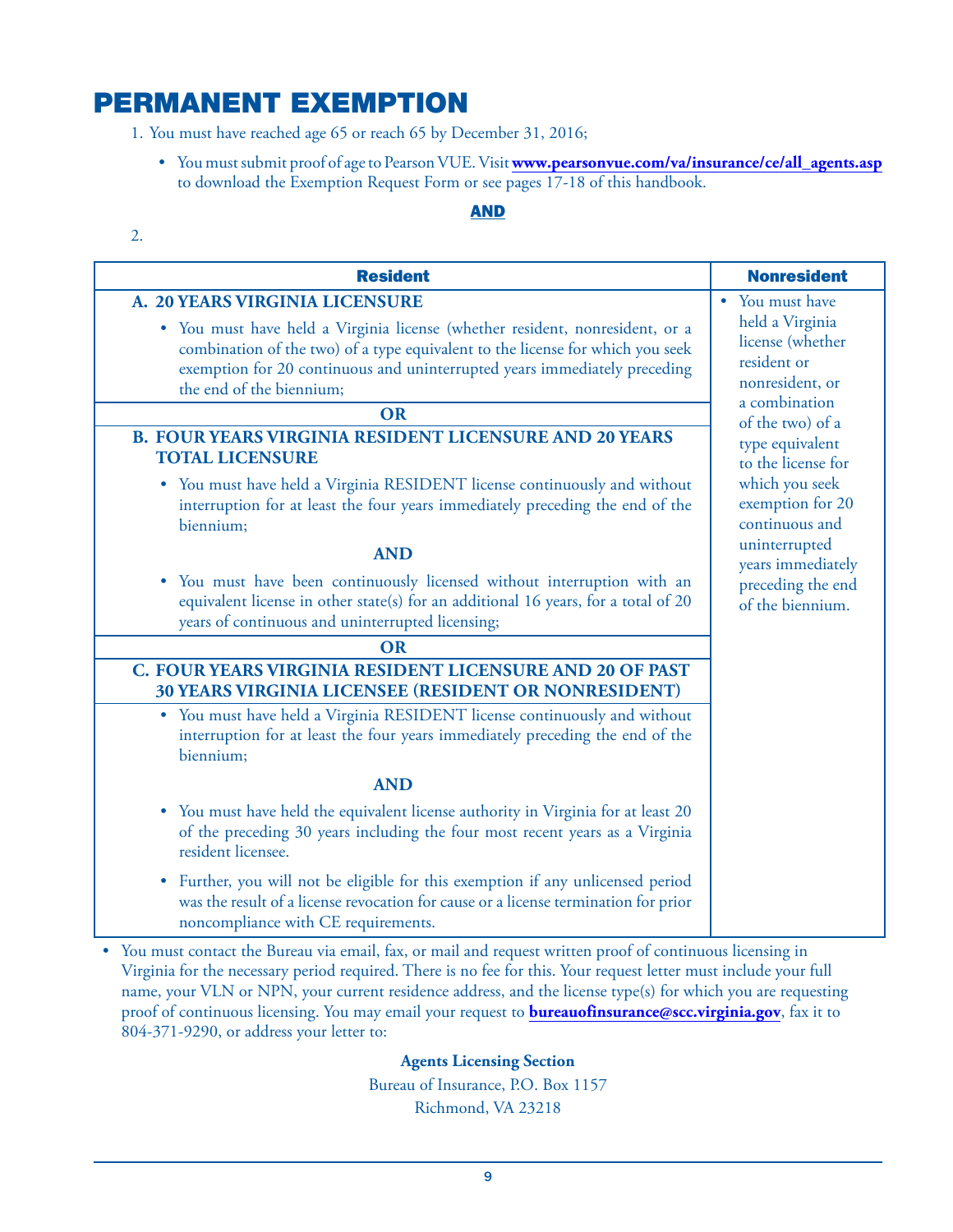# PERMANENT EXEMPTION

1. You must have reached age 65 or reach 65 by December 31, 2016;

• You must submit proof of age to Pearson VUE. Visit **www.pearsonvue.com/va/insurance/ce/all\_agents.asp** to download the Exemption Request Form or see pages 17-18 of this handbook.

#### AND

2.

| <b>Resident</b>                                                                                                                                                                                                                                                                    | <b>Nonresident</b>                                                                     |
|------------------------------------------------------------------------------------------------------------------------------------------------------------------------------------------------------------------------------------------------------------------------------------|----------------------------------------------------------------------------------------|
| A. 20 YEARS VIRGINIA LICENSURE                                                                                                                                                                                                                                                     | • You must have                                                                        |
| You must have held a Virginia license (whether resident, nonresident, or a<br>$\bullet$<br>combination of the two) of a type equivalent to the license for which you seek<br>exemption for 20 continuous and uninterrupted years immediately preceding<br>the end of the biennium; | held a Virginia<br>license (whether<br>resident or<br>nonresident, or<br>a combination |
| OR                                                                                                                                                                                                                                                                                 | of the two) of a                                                                       |
| <b>B. FOUR YEARS VIRGINIA RESIDENT LICENSURE AND 20 YEARS</b><br><b>TOTAL LICENSURE</b>                                                                                                                                                                                            | type equivalent<br>to the license for                                                  |
| You must have held a Virginia RESIDENT license continuously and without<br>$\bullet$<br>interruption for at least the four years immediately preceding the end of the<br>biennium;                                                                                                 | which you seek<br>exemption for 20<br>continuous and                                   |
| <b>AND</b>                                                                                                                                                                                                                                                                         | uninterrupted                                                                          |
| You must have been continuously licensed without interruption with an<br>۰<br>equivalent license in other state(s) for an additional 16 years, for a total of 20<br>years of continuous and uninterrupted licensing;                                                               | years immediately<br>preceding the end<br>of the biennium.                             |
| <b>OR</b>                                                                                                                                                                                                                                                                          |                                                                                        |
| C. FOUR YEARS VIRGINIA RESIDENT LICENSURE AND 20 OF PAST<br>30 YEARS VIRGINIA LICENSEE (RESIDENT OR NONRESIDENT)                                                                                                                                                                   |                                                                                        |
| You must have held a Virginia RESIDENT license continuously and without<br>$\bullet$<br>interruption for at least the four years immediately preceding the end of the<br>biennium;                                                                                                 |                                                                                        |
| <b>AND</b>                                                                                                                                                                                                                                                                         |                                                                                        |
| You must have held the equivalent license authority in Virginia for at least 20<br>$\bullet$<br>of the preceding 30 years including the four most recent years as a Virginia<br>resident licensee.                                                                                 |                                                                                        |
| Further, you will not be eligible for this exemption if any unlicensed period<br>٠<br>was the result of a license revocation for cause or a license termination for prior<br>noncompliance with CE requirements.                                                                   |                                                                                        |

• You must contact the Bureau via email, fax, or mail and request written proof of continuous licensing in Virginia for the necessary period required. There is no fee for this. Your request letter must include your full name, your VLN or NPN, your current residence address, and the license type(s) for which you are requesting proof of continuous licensing. You may email your request to **bureauofinsurance@scc.virginia.gov**, fax it to 804-371-9290, or address your letter to:

#### **Agents Licensing Section**

Bureau of Insurance, P.O. Box 1157 Richmond, VA 23218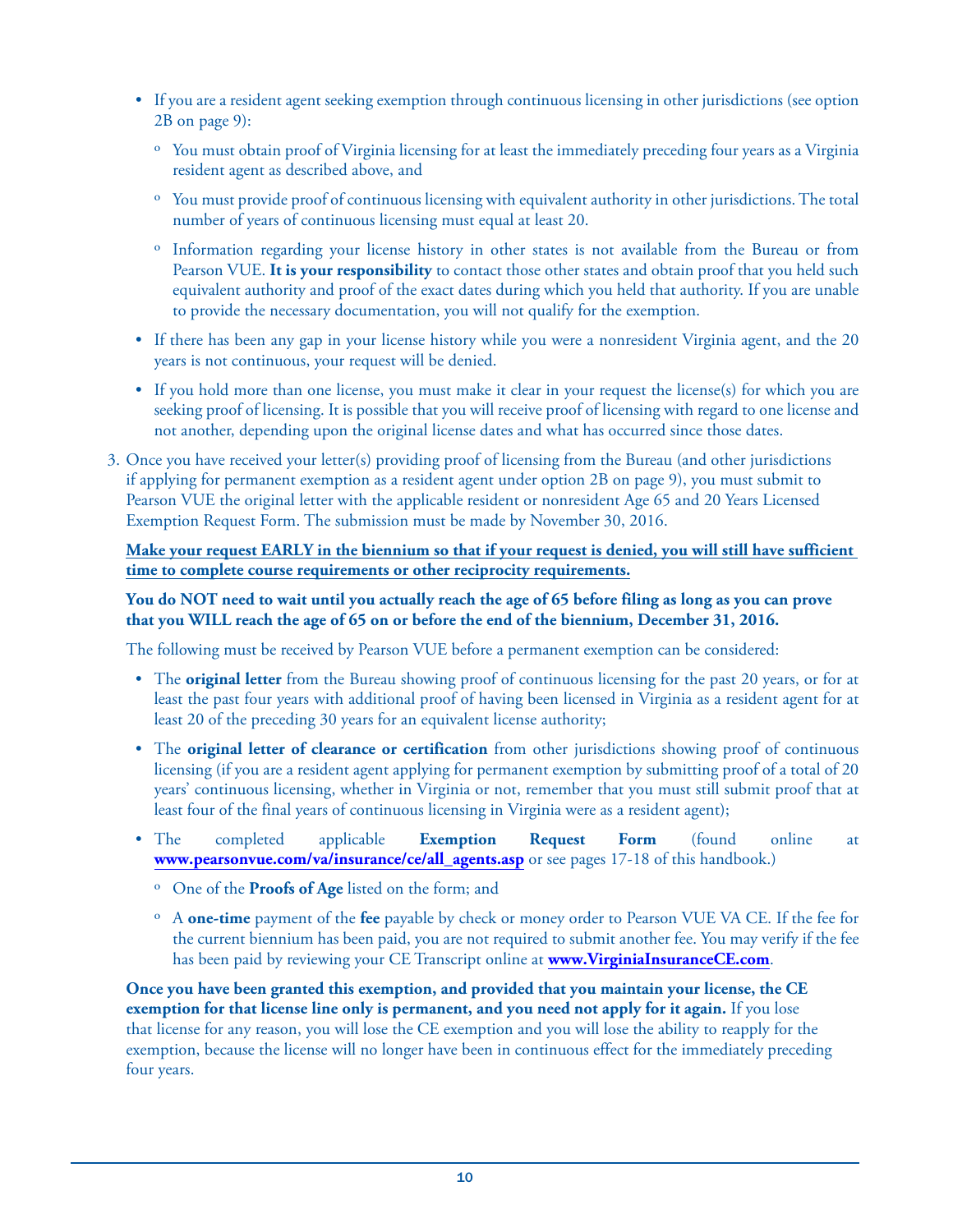- If you are a resident agent seeking exemption through continuous licensing in other jurisdictions (see option 2B on page 9):
	- ˏ You must obtain proof of Virginia licensing for at least the immediately preceding four years as a Virginia resident agent as described above, and
	- ˏ You must provide proof of continuous licensing with equivalent authority in other jurisdictions. The total number of years of continuous licensing must equal at least 20.
	- ˏ Information regarding your license history in other states is not available from the Bureau or from Pearson VUE. **It is your responsibility** to contact those other states and obtain proof that you held such equivalent authority and proof of the exact dates during which you held that authority. If you are unable to provide the necessary documentation, you will not qualify for the exemption.
- If there has been any gap in your license history while you were a nonresident Virginia agent, and the 20 years is not continuous, your request will be denied.
- If you hold more than one license, you must make it clear in your request the license(s) for which you are seeking proof of licensing. It is possible that you will receive proof of licensing with regard to one license and not another, depending upon the original license dates and what has occurred since those dates.
- 3. Once you have received your letter(s) providing proof of licensing from the Bureau (and other jurisdictions if applying for permanent exemption as a resident agent under option 2B on page 9), you must submit to Pearson VUE the original letter with the applicable resident or nonresident Age 65 and 20 Years Licensed Exemption Request Form. The submission must be made by November 30, 2016.

#### **Make your request EARLY in the biennium so that if your request is denied, you will still have sufficient time to complete course requirements or other reciprocity requirements.**

#### **You do NOT need to wait until you actually reach the age of 65 before filing as long as you can prove that you WILL reach the age of 65 on or before the end of the biennium, December 31, 2016.**

The following must be received by Pearson VUE before a permanent exemption can be considered:

- The **original letter** from the Bureau showing proof of continuous licensing for the past 20 years, or for at least the past four years with additional proof of having been licensed in Virginia as a resident agent for at least 20 of the preceding 30 years for an equivalent license authority;
- The **original letter of clearance or certification** from other jurisdictions showing proof of continuous licensing (if you are a resident agent applying for permanent exemption by submitting proof of a total of 20 years' continuous licensing, whether in Virginia or not, remember that you must still submit proof that at least four of the final years of continuous licensing in Virginia were as a resident agent);
- The completed applicable **Exemption Request Form** (found online at **www.pearsonvue.com/va/insurance/ce/all\_agents.asp** or see pages 17-18 of this handbook.)
	- ˏ One of the **Proofs of Age** listed on the form; and
	- ˏ A **one-time** payment of the **fee** payable by check or money order to Pearson VUE VA CE. If the fee for the current biennium has been paid, you are not required to submit another fee. You may verify if the fee has been paid by reviewing your CE Transcript online at **www.VirginiaInsuranceCE.com**.

**Once you have been granted this exemption, and provided that you maintain your license, the CE exemption for that license line only is permanent, and you need not apply for it again.** If you lose that license for any reason, you will lose the CE exemption and you will lose the ability to reapply for the exemption, because the license will no longer have been in continuous effect for the immediately preceding four years.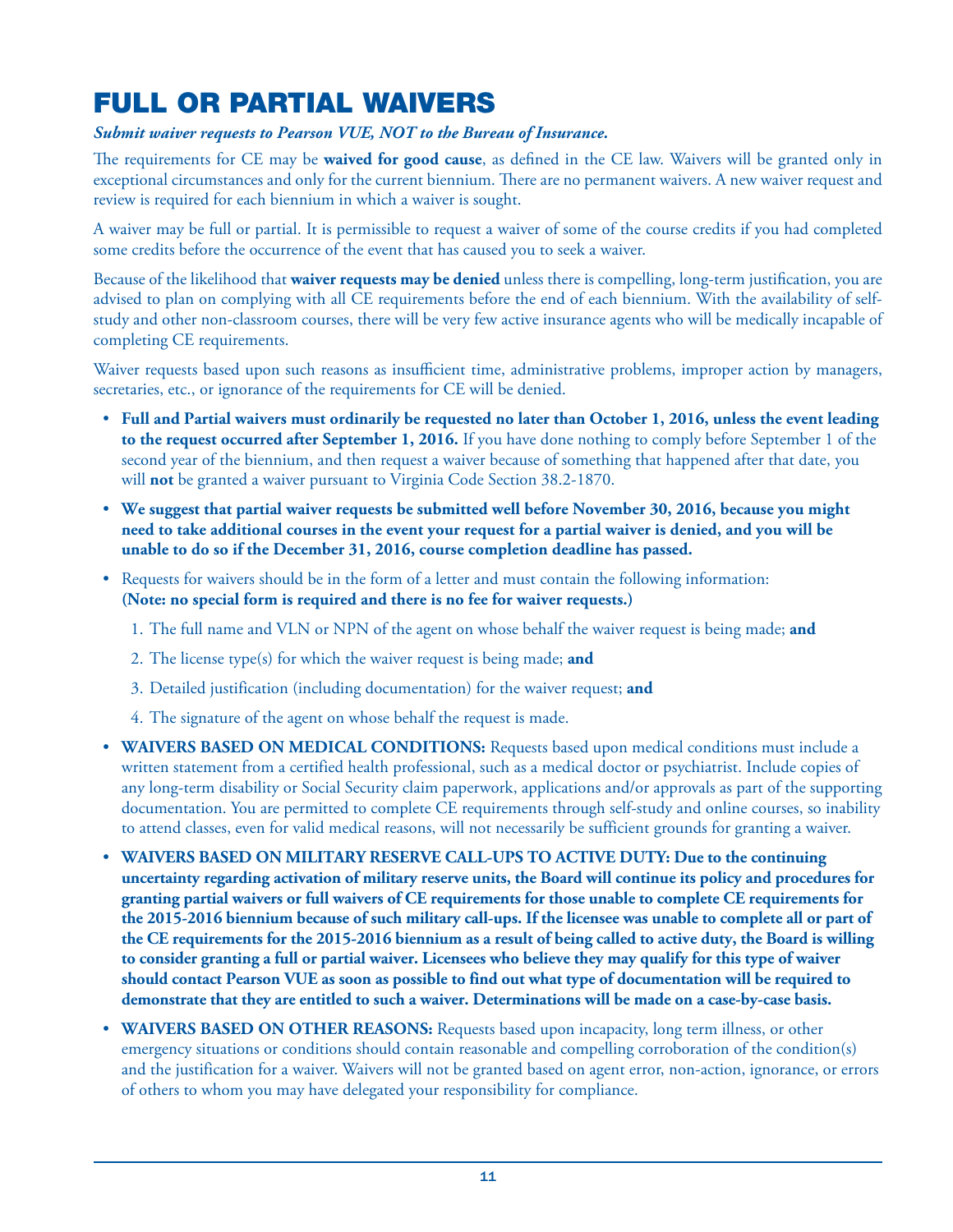# FULL OR PARTIAL WAIVERS

#### *Submit waiver requests to Pearson VUE, NOT to the Bureau of Insurance.*

The requirements for CE may be **waived for good cause**, as defined in the CE law. Waivers will be granted only in exceptional circumstances and only for the current biennium. There are no permanent waivers. A new waiver request and review is required for each biennium in which a waiver is sought.

A waiver may be full or partial. It is permissible to request a waiver of some of the course credits if you had completed some credits before the occurrence of the event that has caused you to seek a waiver.

Because of the likelihood that **waiver requests may be denied** unless there is compelling, long-term justification, you are advised to plan on complying with all CE requirements before the end of each biennium. With the availability of selfstudy and other non-classroom courses, there will be very few active insurance agents who will be medically incapable of completing CE requirements.

Waiver requests based upon such reasons as insufficient time, administrative problems, improper action by managers, secretaries, etc., or ignorance of the requirements for CE will be denied.

- **Full and Partial waivers must ordinarily be requested no later than October 1, 2016, unless the event leading to the request occurred after September 1, 2016.** If you have done nothing to comply before September 1 of the second year of the biennium, and then request a waiver because of something that happened after that date, you will **not** be granted a waiver pursuant to Virginia Code Section 38.2-1870.
- **We suggest that partial waiver requests be submitted well before November 30, 2016, because you might need to take additional courses in the event your request for a partial waiver is denied, and you will be unable to do so if the December 31, 2016, course completion deadline has passed.**
- Requests for waivers should be in the form of a letter and must contain the following information: **(Note: no special form is required and there is no fee for waiver requests.)**
	- 1. The full name and VLN or NPN of the agent on whose behalf the waiver request is being made; **and**
	- 2. The license type(s) for which the waiver request is being made; **and**
	- 3. Detailed justification (including documentation) for the waiver request; **and**
	- 4. The signature of the agent on whose behalf the request is made.
- **WAIVERS BASED ON MEDICAL CONDITIONS:** Requests based upon medical conditions must include a written statement from a certified health professional, such as a medical doctor or psychiatrist. Include copies of any long-term disability or Social Security claim paperwork, applications and/or approvals as part of the supporting documentation. You are permitted to complete CE requirements through self-study and online courses, so inability to attend classes, even for valid medical reasons, will not necessarily be sufficient grounds for granting a waiver.
- **WAIVERS BASED ON MILITARY RESERVE CALL-UPS TO ACTIVE DUTY: Due to the continuing uncertainty regarding activation of military reserve units, the Board will continue its policy and procedures for granting partial waivers or full waivers of CE requirements for those unable to complete CE requirements for the 2015-2016 biennium because of such military call-ups. If the licensee was unable to complete all or part of the CE requirements for the 2015-2016 biennium as a result of being called to active duty, the Board is willing to consider granting a full or partial waiver. Licensees who believe they may qualify for this type of waiver should contact Pearson VUE as soon as possible to find out what type of documentation will be required to demonstrate that they are entitled to such a waiver. Determinations will be made on a case-by-case basis.**
- **WAIVERS BASED ON OTHER REASONS:** Requests based upon incapacity, long term illness, or other emergency situations or conditions should contain reasonable and compelling corroboration of the condition(s) and the justification for a waiver. Waivers will not be granted based on agent error, non-action, ignorance, or errors of others to whom you may have delegated your responsibility for compliance.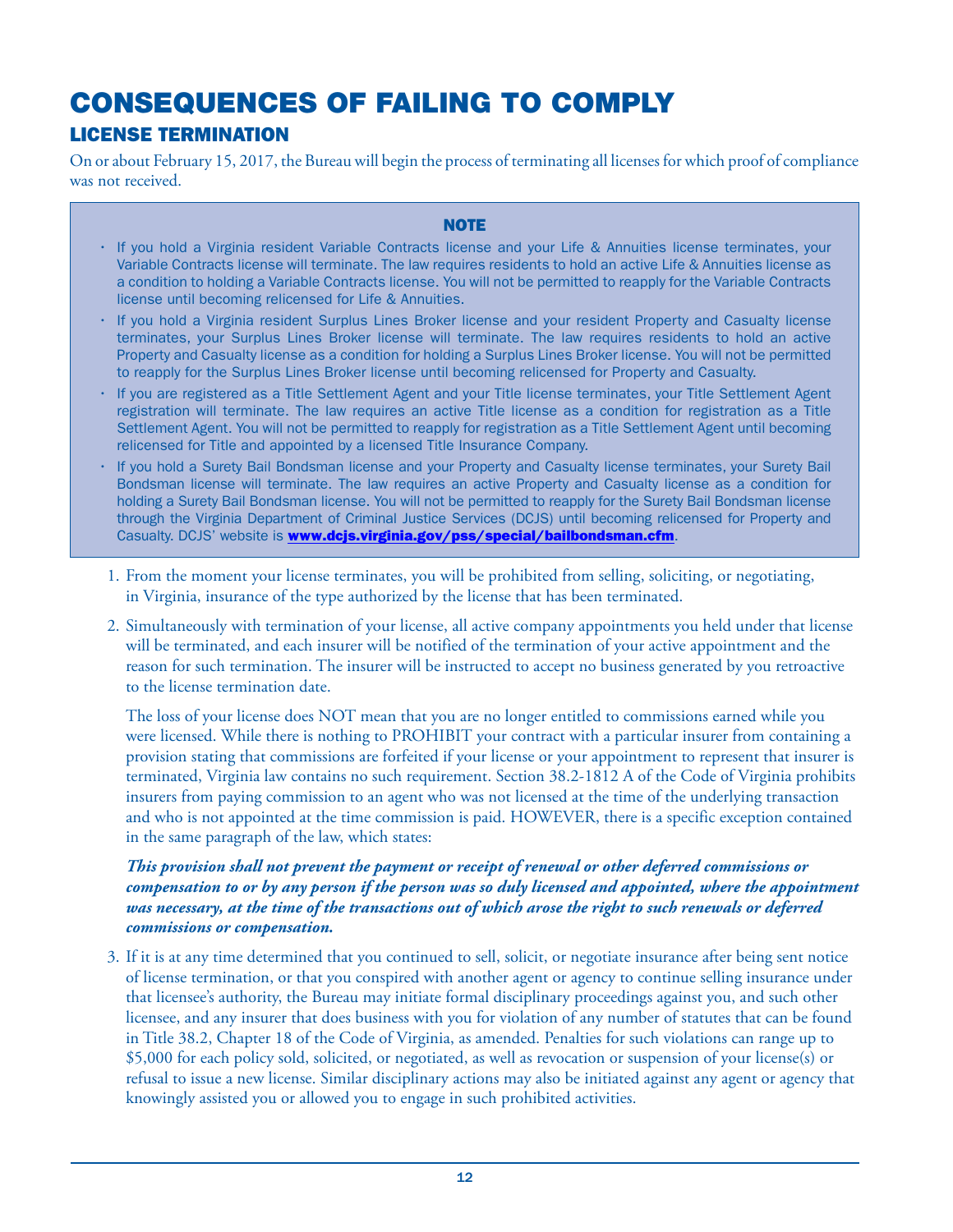# CONSEQUENCES OF FAILING TO COMPLY LICENSE TERMINATION

On or about February 15, 2017, the Bureau will begin the process of terminating all licenses for which proof of compliance was not received.

#### **NOTE**

- If you hold a Virginia resident Variable Contracts license and your Life & Annuities license terminates, your Variable Contracts license will terminate. The law requires residents to hold an active Life & Annuities license as a condition to holding a Variable Contracts license. You will not be permitted to reapply for the Variable Contracts license until becoming relicensed for Life & Annuities.
- If you hold a Virginia resident Surplus Lines Broker license and your resident Property and Casualty license terminates, your Surplus Lines Broker license will terminate. The law requires residents to hold an active Property and Casualty license as a condition for holding a Surplus Lines Broker license. You will not be permitted to reapply for the Surplus Lines Broker license until becoming relicensed for Property and Casualty.
- If you are registered as a Title Settlement Agent and your Title license terminates, your Title Settlement Agent registration will terminate. The law requires an active Title license as a condition for registration as a Title Settlement Agent. You will not be permitted to reapply for registration as a Title Settlement Agent until becoming relicensed for Title and appointed by a licensed Title Insurance Company.
- If you hold a Surety Bail Bondsman license and your Property and Casualty license terminates, your Surety Bail Bondsman license will terminate. The law requires an active Property and Casualty license as a condition for holding a Surety Bail Bondsman license. You will not be permitted to reapply for the Surety Bail Bondsman license through the Virginia Department of Criminal Justice Services (DCJS) until becoming relicensed for Property and Casualty. DCJS' website is **www.dcjs.virginia.gov/pss/special/bailbondsman.cfm**.
- 1. From the moment your license terminates, you will be prohibited from selling, soliciting, or negotiating, in Virginia, insurance of the type authorized by the license that has been terminated.
- 2. Simultaneously with termination of your license, all active company appointments you held under that license will be terminated, and each insurer will be notified of the termination of your active appointment and the reason for such termination. The insurer will be instructed to accept no business generated by you retroactive to the license termination date.

The loss of your license does NOT mean that you are no longer entitled to commissions earned while you were licensed. While there is nothing to PROHIBIT your contract with a particular insurer from containing a provision stating that commissions are forfeited if your license or your appointment to represent that insurer is terminated, Virginia law contains no such requirement. Section 38.2-1812 A of the Code of Virginia prohibits insurers from paying commission to an agent who was not licensed at the time of the underlying transaction and who is not appointed at the time commission is paid. HOWEVER, there is a specific exception contained in the same paragraph of the law, which states:

#### *This provision shall not prevent the payment or receipt of renewal or other deferred commissions or compensation to or by any person if the person was so duly licensed and appointed, where the appointment was necessary, at the time of the transactions out of which arose the right to such renewals or deferred commissions or compensation.*

3. If it is at any time determined that you continued to sell, solicit, or negotiate insurance after being sent notice of license termination, or that you conspired with another agent or agency to continue selling insurance under that licensee's authority, the Bureau may initiate formal disciplinary proceedings against you, and such other licensee, and any insurer that does business with you for violation of any number of statutes that can be found in Title 38.2, Chapter 18 of the Code of Virginia, as amended. Penalties for such violations can range up to \$5,000 for each policy sold, solicited, or negotiated, as well as revocation or suspension of your license(s) or refusal to issue a new license. Similar disciplinary actions may also be initiated against any agent or agency that knowingly assisted you or allowed you to engage in such prohibited activities.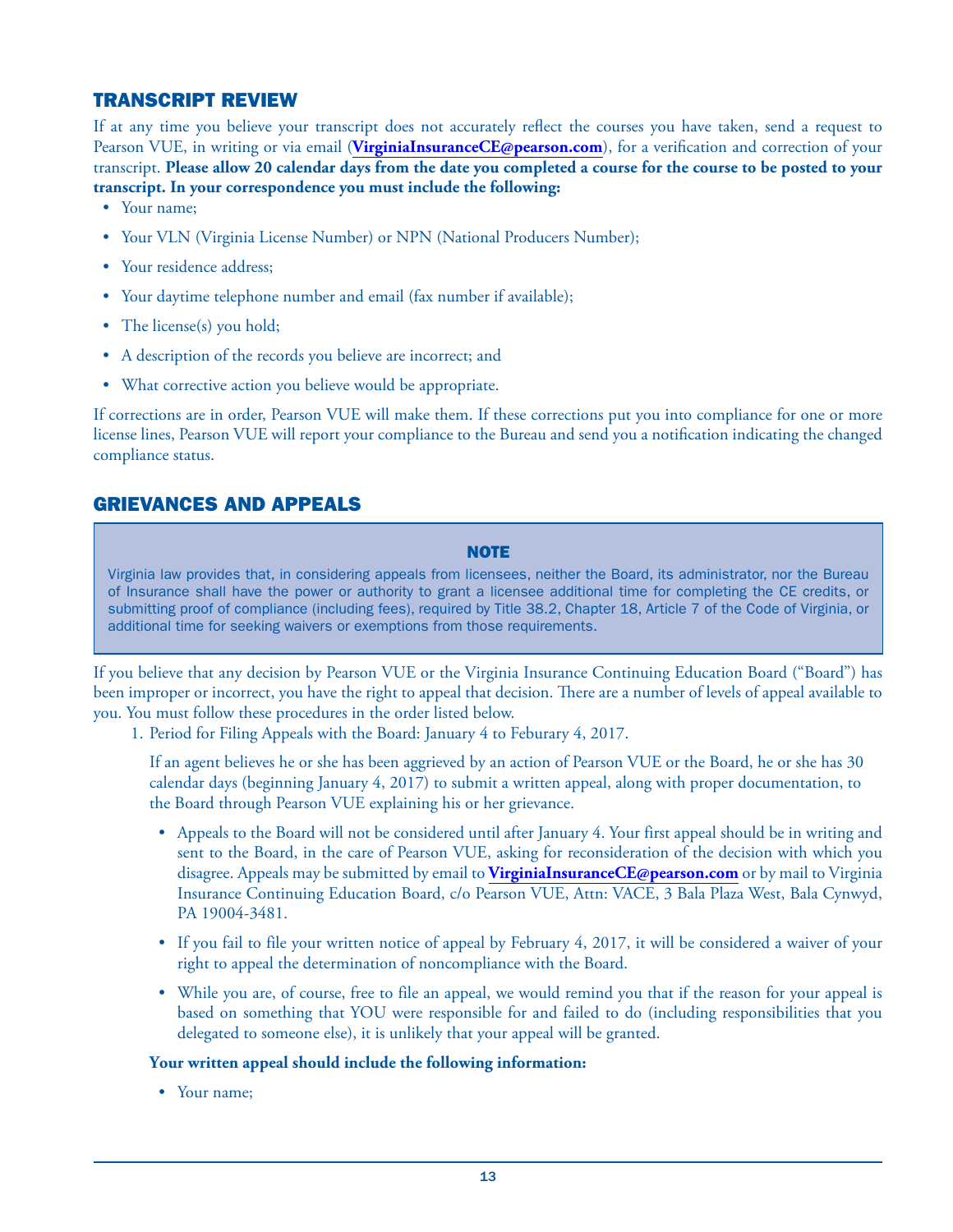### TRANSCRIPT REVIEW

If at any time you believe your transcript does not accurately reflect the courses you have taken, send a request to Pearson VUE, in writing or via email (**VirginiaInsuranceCE@pearson.com**), for a verification and correction of your transcript. **Please allow 20 calendar days from the date you completed a course for the course to be posted to your transcript. In your correspondence you must include the following:**

- Your name;
- Your VLN (Virginia License Number) or NPN (National Producers Number);
- Your residence address;
- Your daytime telephone number and email (fax number if available);
- The license(s) you hold;
- A description of the records you believe are incorrect; and
- What corrective action you believe would be appropriate.

If corrections are in order, Pearson VUE will make them. If these corrections put you into compliance for one or more license lines, Pearson VUE will report your compliance to the Bureau and send you a notification indicating the changed compliance status.

### GRIEVANCES AND APPEALS

#### **NOTE**

Virginia law provides that, in considering appeals from licensees, neither the Board, its administrator, nor the Bureau of Insurance shall have the power or authority to grant a licensee additional time for completing the CE credits, or submitting proof of compliance (including fees), required by Title 38.2, Chapter 18, Article 7 of the Code of Virginia, or additional time for seeking waivers or exemptions from those requirements.

If you believe that any decision by Pearson VUE or the Virginia Insurance Continuing Education Board ("Board") has been improper or incorrect, you have the right to appeal that decision. There are a number of levels of appeal available to you. You must follow these procedures in the order listed below.

1. Period for Filing Appeals with the Board: January 4 to Feburary 4, 2017.

If an agent believes he or she has been aggrieved by an action of Pearson VUE or the Board, he or she has 30 calendar days (beginning January 4, 2017) to submit a written appeal, along with proper documentation, to the Board through Pearson VUE explaining his or her grievance.

- Appeals to the Board will not be considered until after January 4. Your first appeal should be in writing and sent to the Board, in the care of Pearson VUE, asking for reconsideration of the decision with which you disagree. Appeals may be submitted by email to **VirginiaInsuranceCE@pearson.com** or by mail to Virginia Insurance Continuing Education Board, c/o Pearson VUE, Attn: VACE, 3 Bala Plaza West, Bala Cynwyd, PA 19004-3481.
- If you fail to file your written notice of appeal by February 4, 2017, it will be considered a waiver of your right to appeal the determination of noncompliance with the Board.
- While you are, of course, free to file an appeal, we would remind you that if the reason for your appeal is based on something that YOU were responsible for and failed to do (including responsibilities that you delegated to someone else), it is unlikely that your appeal will be granted.

#### **Your written appeal should include the following information:**

• Your name: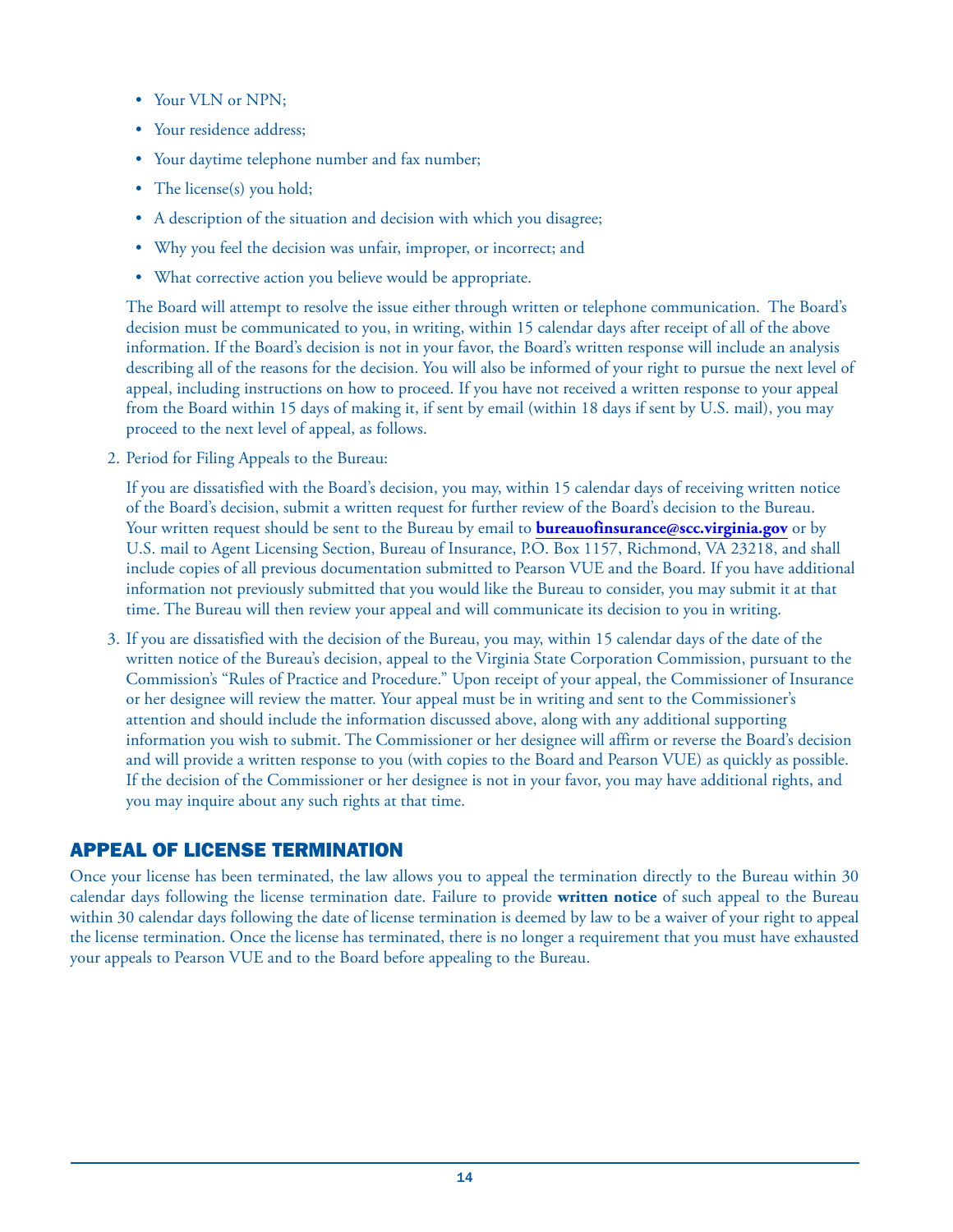- Your VLN or NPN;
- Your residence address;
- Your daytime telephone number and fax number;
- The license(s) you hold;
- A description of the situation and decision with which you disagree;
- Why you feel the decision was unfair, improper, or incorrect; and
- What corrective action you believe would be appropriate.

The Board will attempt to resolve the issue either through written or telephone communication. The Board's decision must be communicated to you, in writing, within 15 calendar days after receipt of all of the above information. If the Board's decision is not in your favor, the Board's written response will include an analysis describing all of the reasons for the decision. You will also be informed of your right to pursue the next level of appeal, including instructions on how to proceed. If you have not received a written response to your appeal from the Board within 15 days of making it, if sent by email (within 18 days if sent by U.S. mail), you may proceed to the next level of appeal, as follows.

2. Period for Filing Appeals to the Bureau:

If you are dissatisfied with the Board's decision, you may, within 15 calendar days of receiving written notice of the Board's decision, submit a written request for further review of the Board's decision to the Bureau. Your written request should be sent to the Bureau by email to **bureauofinsurance@scc.virginia.gov** or by U.S. mail to Agent Licensing Section, Bureau of Insurance, P.O. Box 1157, Richmond, VA 23218, and shall include copies of all previous documentation submitted to Pearson VUE and the Board. If you have additional information not previously submitted that you would like the Bureau to consider, you may submit it at that time. The Bureau will then review your appeal and will communicate its decision to you in writing.

3. If you are dissatisfied with the decision of the Bureau, you may, within 15 calendar days of the date of the written notice of the Bureau's decision, appeal to the Virginia State Corporation Commission, pursuant to the Commission's "Rules of Practice and Procedure." Upon receipt of your appeal, the Commissioner of Insurance or her designee will review the matter. Your appeal must be in writing and sent to the Commissioner's attention and should include the information discussed above, along with any additional supporting information you wish to submit. The Commissioner or her designee will affirm or reverse the Board's decision and will provide a written response to you (with copies to the Board and Pearson VUE) as quickly as possible. If the decision of the Commissioner or her designee is not in your favor, you may have additional rights, and you may inquire about any such rights at that time.

### APPEAL OF LICENSE TERMINATION

Once your license has been terminated, the law allows you to appeal the termination directly to the Bureau within 30 calendar days following the license termination date. Failure to provide **written notice** of such appeal to the Bureau within 30 calendar days following the date of license termination is deemed by law to be a waiver of your right to appeal the license termination. Once the license has terminated, there is no longer a requirement that you must have exhausted your appeals to Pearson VUE and to the Board before appealing to the Bureau.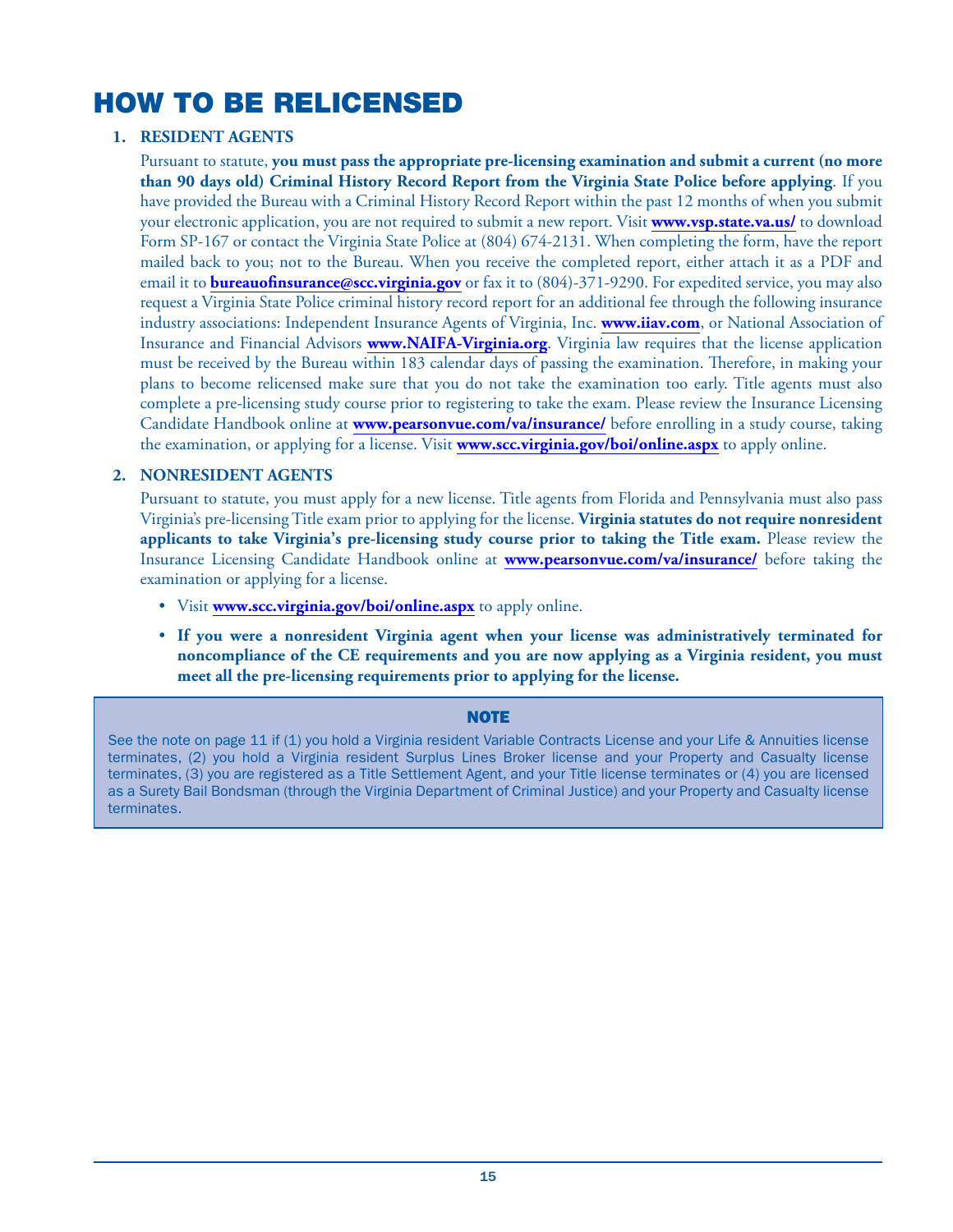# HOW TO BE RELICENSED

#### **1. RESIDENT AGENTS**

Pursuant to statute, **you must pass the appropriate pre-licensing examination and submit a current (no more than 90 days old) Criminal History Record Report from the Virginia State Police before applying**. If you have provided the Bureau with a Criminal History Record Report within the past 12 months of when you submit your electronic application, you are not required to submit a new report. Visit **www.vsp.state.va.us/** to download Form SP-167 or contact the Virginia State Police at (804) 674-2131. When completing the form, have the report mailed back to you; not to the Bureau. When you receive the completed report, either attach it as a PDF and email it to **bureauofinsurance@scc.virginia.gov** or fax it to (804)-371-9290. For expedited service, you may also request a Virginia State Police criminal history record report for an additional fee through the following insurance industry associations: Independent Insurance Agents of Virginia, Inc. **www.iiav.com**, or National Association of Insurance and Financial Advisors **www.NAIFA-Virginia.org**. Virginia law requires that the license application must be received by the Bureau within 183 calendar days of passing the examination. Therefore, in making your plans to become relicensed make sure that you do not take the examination too early. Title agents must also complete a pre-licensing study course prior to registering to take the exam. Please review the Insurance Licensing Candidate Handbook online at **www.pearsonvue.com/va/insurance/** before enrolling in a study course, taking the examination, or applying for a license. Visit **www.scc.virginia.gov/boi/online.aspx** to apply online.

#### **2. NONRESIDENT AGENTS**

Pursuant to statute, you must apply for a new license. Title agents from Florida and Pennsylvania must also pass Virginia's pre-licensing Title exam prior to applying for the license. **Virginia statutes do not require nonresident applicants to take Virginia's pre-licensing study course prior to taking the Title exam.** Please review the Insurance Licensing Candidate Handbook online at **www.pearsonvue.com/va/insurance/** before taking the examination or applying for a license.

- Visit **www.scc.virginia.gov/boi/online.aspx** to apply online.
- **If you were a nonresident Virginia agent when your license was administratively terminated for noncompliance of the CE requirements and you are now applying as a Virginia resident, you must meet all the pre-licensing requirements prior to applying for the license.**

#### **NOTE**

See the note on page 11 if (1) you hold a Virginia resident Variable Contracts License and your Life & Annuities license terminates, (2) you hold a Virginia resident Surplus Lines Broker license and your Property and Casualty license terminates, (3) you are registered as a Title Settlement Agent, and your Title license terminates or (4) you are licensed as a Surety Bail Bondsman (through the Virginia Department of Criminal Justice) and your Property and Casualty license terminates.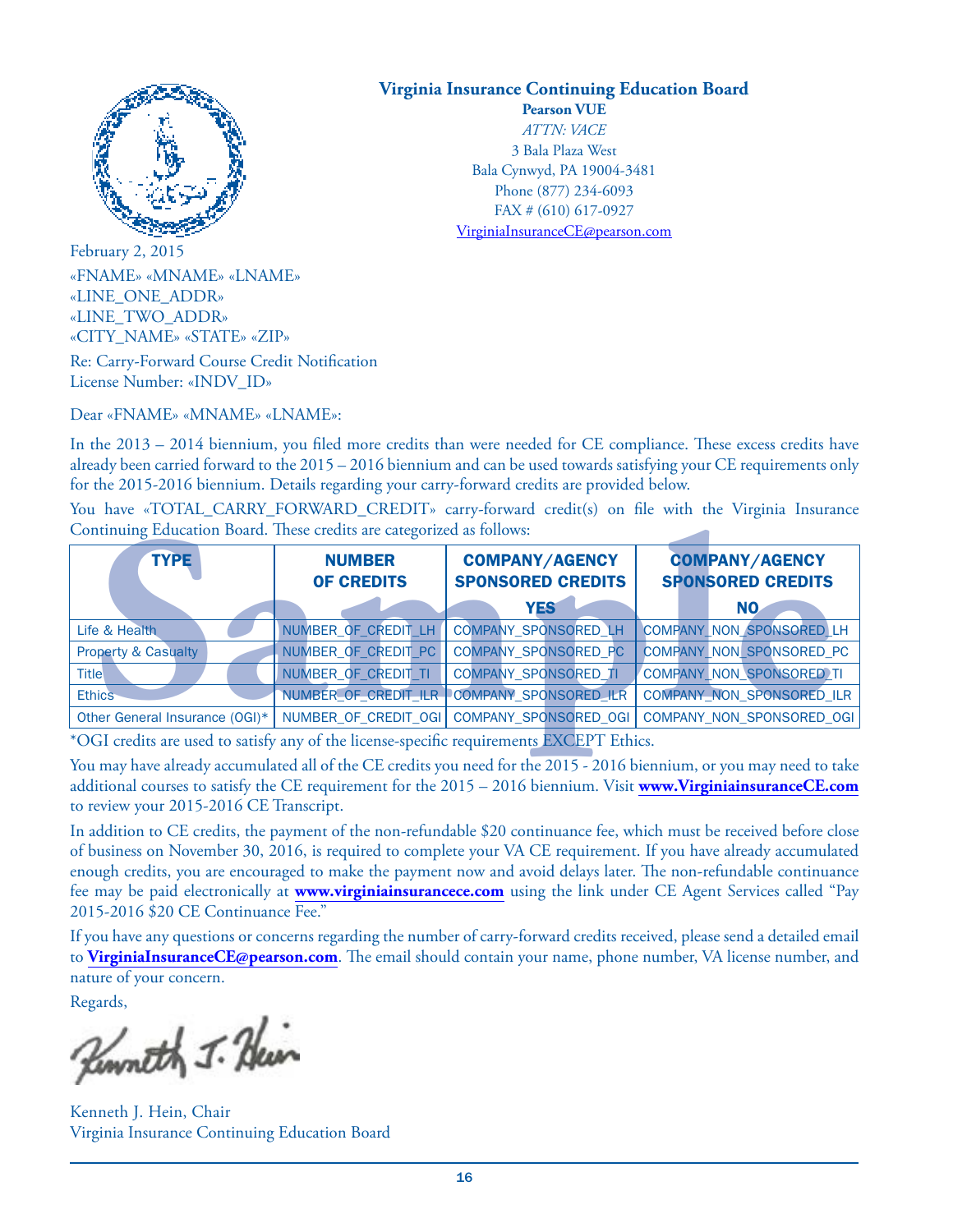

February 2, 2015 «FNAME» «MNAME» «LNAME» «LINE\_ONE\_ADDR» «LINE\_TWO\_ADDR» «CITY\_NAME» «STATE» «ZIP»

Re: Carry-Forward Course Credit Notification License Number: «INDV\_ID»

Dear «FNAME» «MNAME» «LNAME»:

In the 2013 – 2014 biennium, you filed more credits than were needed for CE compliance. These excess credits have already been carried forward to the 2015 – 2016 biennium and can be used towards satisfying your CE requirements only for the 2015-2016 biennium. Details regarding your carry-forward credits are provided below.

You have «TOTAL\_CARRY\_FORWARD\_CREDIT» carry-forward credit(s) on file with the Virginia Insurance Continuing Education Board. These credits are categorized as follows:

| Continuing Education Board. These credits are categorized as follows:<br><b>TYPE</b>     | <b>NUMBER</b><br><b>OF CREDITS</b> | <b>COMPANY/AGENCY</b><br><b>SPONSORED CREDITS</b> | <b>COMPANY/AGENCY</b><br><b>SPONSORED CREDITS</b> |
|------------------------------------------------------------------------------------------|------------------------------------|---------------------------------------------------|---------------------------------------------------|
|                                                                                          |                                    | <b>YES</b>                                        | NO.                                               |
| Life & Health                                                                            | NUMBER OF CREDIT LH                | <b>COMPANY SPONSORED LH</b>                       | COMPANY_NON_SPONSORED_LH                          |
| <b>Property &amp; Casualty</b>                                                           | NUMBER OF CREDIT PC                | COMPANY_SPONSORED_PC                              | <b>COMPANY NON SPONSORED PC</b>                   |
| <b>Title</b>                                                                             | NUMBER OF CREDIT TI                | <b>COMPANY SPONSORED TI</b>                       | COMPANY NON SPONSORED TI                          |
| <b>Ethics</b>                                                                            | NUMBER OF CREDIT ILR               | COMPANY_SPONSORED_ILR                             | <b>COMPANY NON SPONSORED ILR</b>                  |
| Other General Insurance (OGI)*                                                           | NUMBER_OF_CREDIT_OGI               | COMPANY_SPONSORED_OGI                             | COMPANY NON SPONSORED OGI                         |
| *OGI credits are used to satisfy any of the license-specific requirements EXCEPT Ethics. |                                    |                                                   |                                                   |

You may have already accumulated all of the CE credits you need for the 2015 - 2016 biennium, or you may need to take additional courses to satisfy the CE requirement for the 2015 – 2016 biennium. Visit **www.VirginiainsuranceCE.com** to review your 2015-2016 CE Transcript.

In addition to CE credits, the payment of the non-refundable \$20 continuance fee, which must be received before close of business on November 30, 2016, is required to complete your VA CE requirement. If you have already accumulated enough credits, you are encouraged to make the payment now and avoid delays later. The non-refundable continuance fee may be paid electronically at **www.virginiainsurancece.com** using the link under CE Agent Services called "Pay 2015-2016 \$20 CE Continuance Fee."

If you have any questions or concerns regarding the number of carry-forward credits received, please send a detailed email to **VirginiaInsuranceCE@pearson.com**. The email should contain your name, phone number, VA license number, and nature of your concern.

Regards,

Kenneth J. Huin

Kenneth J. Hein, Chair Virginia Insurance Continuing Education Board

### **Virginia Insurance Continuing Education Board**

**Pearson VUE** *ATTN: VACE* 3 Bala Plaza West Bala Cynwyd, PA 19004-3481 Phone (877) 234-6093 FAX # (610) 617-0927 VirginiaInsuranceCE@pearson.com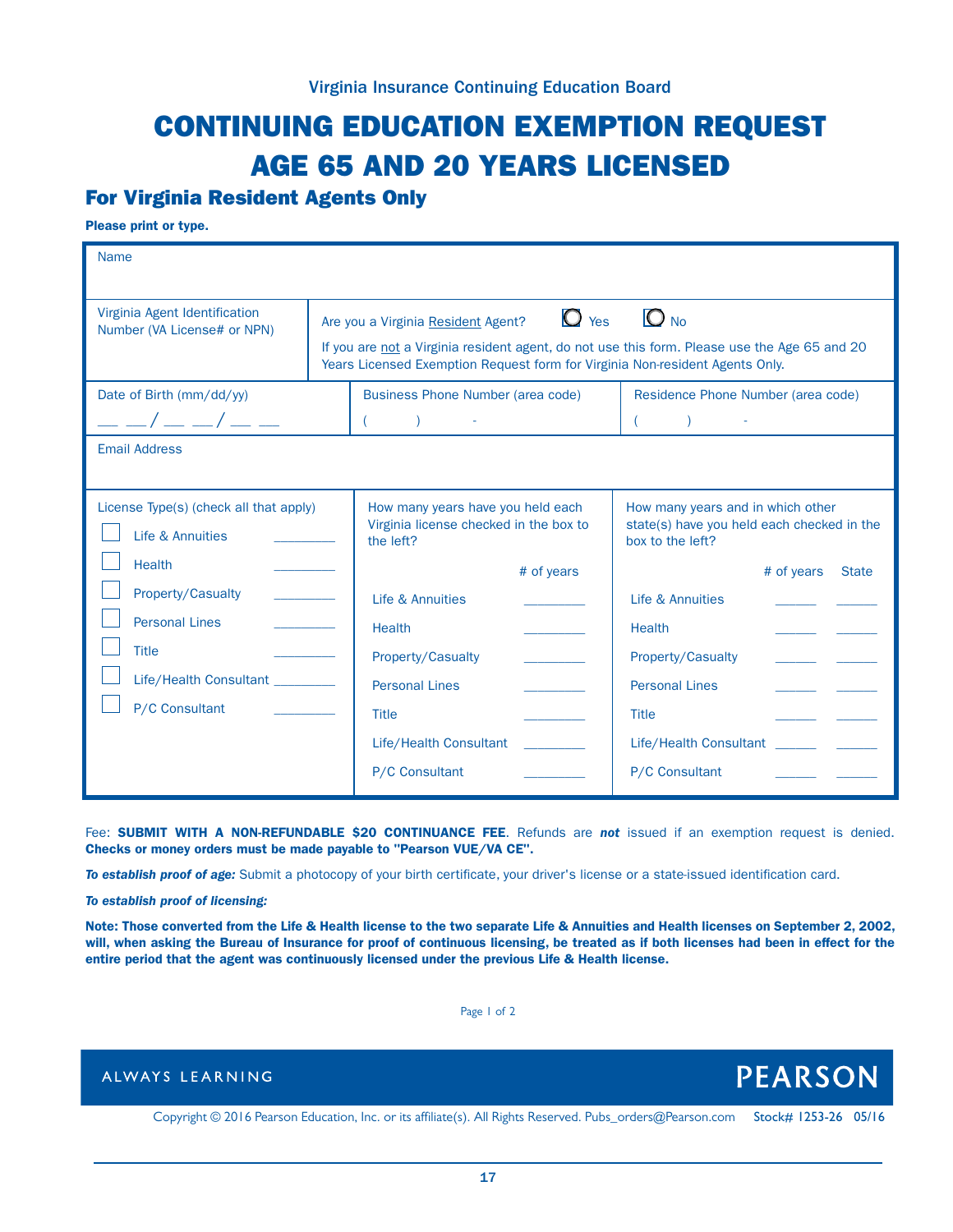# CONTINUING EDUCATION EXEMPTION REQUEST AGE 65 AND 20 YEARS LICENSED

### For Virginia Resident Agents Only

Please print or type.

| <b>Name</b>                                                                                                      |                                                                                                                                                                                                                                                                                                                                                                                                         |                                                                                                        |                                                                                                                                   |
|------------------------------------------------------------------------------------------------------------------|---------------------------------------------------------------------------------------------------------------------------------------------------------------------------------------------------------------------------------------------------------------------------------------------------------------------------------------------------------------------------------------------------------|--------------------------------------------------------------------------------------------------------|-----------------------------------------------------------------------------------------------------------------------------------|
| Virginia Agent Identification<br>Number (VA License# or NPN)<br>Date of Birth (mm/dd/yy)<br>$ -$ / $ -$ / $ -$   | $O_{N0}$<br>$\bullet$ Yes<br>Are you a Virginia Resident Agent?<br>If you are not a Virginia resident agent, do not use this form. Please use the Age 65 and 20<br>Years Licensed Exemption Request form for Virginia Non-resident Agents Only.<br><b>Business Phone Number (area code)</b><br>Residence Phone Number (area code)<br>$\begin{pmatrix} 1 & 1 \\ 1 & 1 \end{pmatrix}$<br>$\sum_{i=1}^{n}$ |                                                                                                        |                                                                                                                                   |
| <b>Email Address</b>                                                                                             |                                                                                                                                                                                                                                                                                                                                                                                                         |                                                                                                        |                                                                                                                                   |
| License Type(s) (check all that apply)<br>Life & Annuities<br><b>Health</b>                                      |                                                                                                                                                                                                                                                                                                                                                                                                         | How many years have you held each<br>Virginia license checked in the box to<br>the left?<br># of years | How many years and in which other<br>state(s) have you held each checked in the<br>box to the left?<br># of years<br><b>State</b> |
| Property/Casualty<br><b>Personal Lines</b><br><b>Title</b><br>Life/Health Consultant _________<br>P/C Consultant |                                                                                                                                                                                                                                                                                                                                                                                                         | Life & Annuities<br><b>Health</b><br>Property/Casualty<br><b>Personal Lines</b><br><b>Title</b>        | Life & Annuities<br><b>Health</b><br><b>Property/Casualty</b><br><b>Personal Lines</b><br><b>Title</b>                            |
|                                                                                                                  |                                                                                                                                                                                                                                                                                                                                                                                                         | Life/Health Consultant<br>P/C Consultant                                                               | Life/Health Consultant<br>P/C Consultant                                                                                          |

Fee: **SUBMIT WITH A NON-REFUNDABLE \$20 CONTINUANCE FEE**. Refunds are **not** issued if an exemption request is denied. Checks or money orders must be made payable to "Pearson VUE/VA CE".

*To establish proof of age:* Submit a photocopy of your birth certificate, your driver's license or a state-issued identification card.

*To establish proof of licensing:*

Note: Those converted from the Life & Health license to the two separate Life & Annuities and Health licenses on September 2, 2002, will, when asking the Bureau of Insurance for proof of continuous licensing, be treated as if both licenses had been in effect for the entire period that the agent was continuously licensed under the previous Life & Health license.

Page 1 of 2

### ALWAYS LEARNING

Copyright © 2016 Pearson Education, Inc. or its affiliate(s). All Rights Reserved. Pubs\_orders@Pearson.com Stock# 1253-26 05/16

**PEARSON**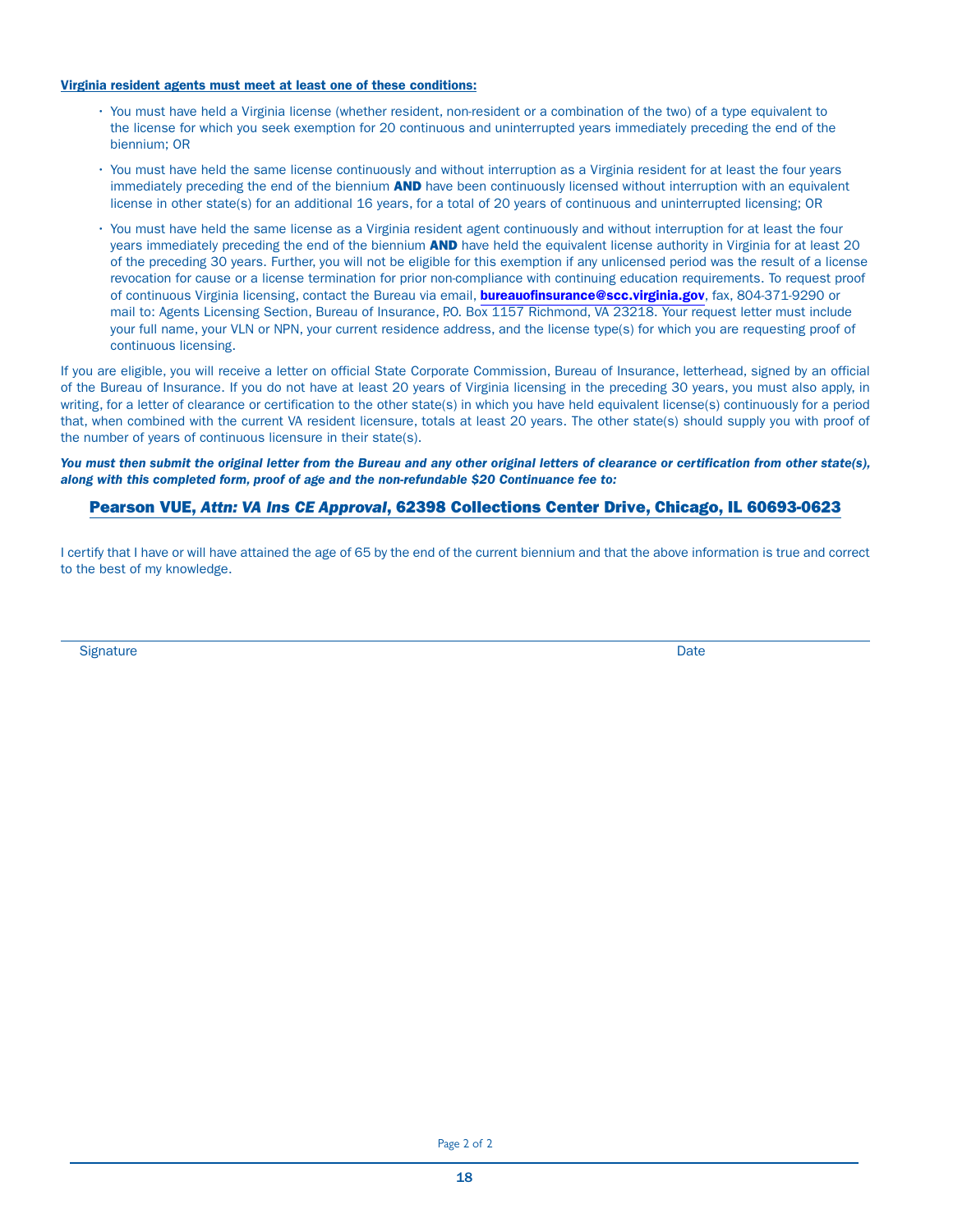#### Virginia resident agents must meet at least one of these conditions:

- You must have held a Virginia license (whether resident, non-resident or a combination of the two) of a type equivalent to the license for which you seek exemption for 20 continuous and uninterrupted years immediately preceding the end of the biennium; OR
- You must have held the same license continuously and without interruption as a Virginia resident for at least the four years immediately preceding the end of the biennium **AND** have been continuously licensed without interruption with an equivalent license in other state(s) for an additional 16 years, for a total of 20 years of continuous and uninterrupted licensing; OR
- You must have held the same license as a Virginia resident agent continuously and without interruption for at least the four years immediately preceding the end of the biennium AND have held the equivalent license authority in Virginia for at least 20 of the preceding 30 years. Further, you will not be eligible for this exemption if any unlicensed period was the result of a license revocation for cause or a license termination for prior non-compliance with continuing education requirements. To request proof of continuous Virginia licensing, contact the Bureau via email, **bureauofinsurance@scc.virginia.gov**, fax, 804-371-9290 or mail to: Agents Licensing Section, Bureau of Insurance, P.O. Box 1157 Richmond, VA 23218. Your request letter must include your full name, your VLN or NPN, your current residence address, and the license type(s) for which you are requesting proof of continuous licensing.

If you are eligible, you will receive a letter on official State Corporate Commission, Bureau of Insurance, letterhead, signed by an official of the Bureau of Insurance. If you do not have at least 20 years of Virginia licensing in the preceding 30 years, you must also apply, in writing, for a letter of clearance or certification to the other state(s) in which you have held equivalent license(s) continuously for a period that, when combined with the current VA resident licensure, totals at least 20 years. The other state(s) should supply you with proof of the number of years of continuous licensure in their state(s).

*You must then submit the original letter from the Bureau and any other original letters of clearance or certification from other state(s), along with this completed form, proof of age and the non-refundable \$20 Continuance fee to:*

#### Pearson VUE, *Attn: VA Ins CE Approval*, 62398 Collections Center Drive, Chicago, IL 60693-0623

I certify that I have or will have attained the age of 65 by the end of the current biennium and that the above information is true and correct to the best of my knowledge.

Signature **Date**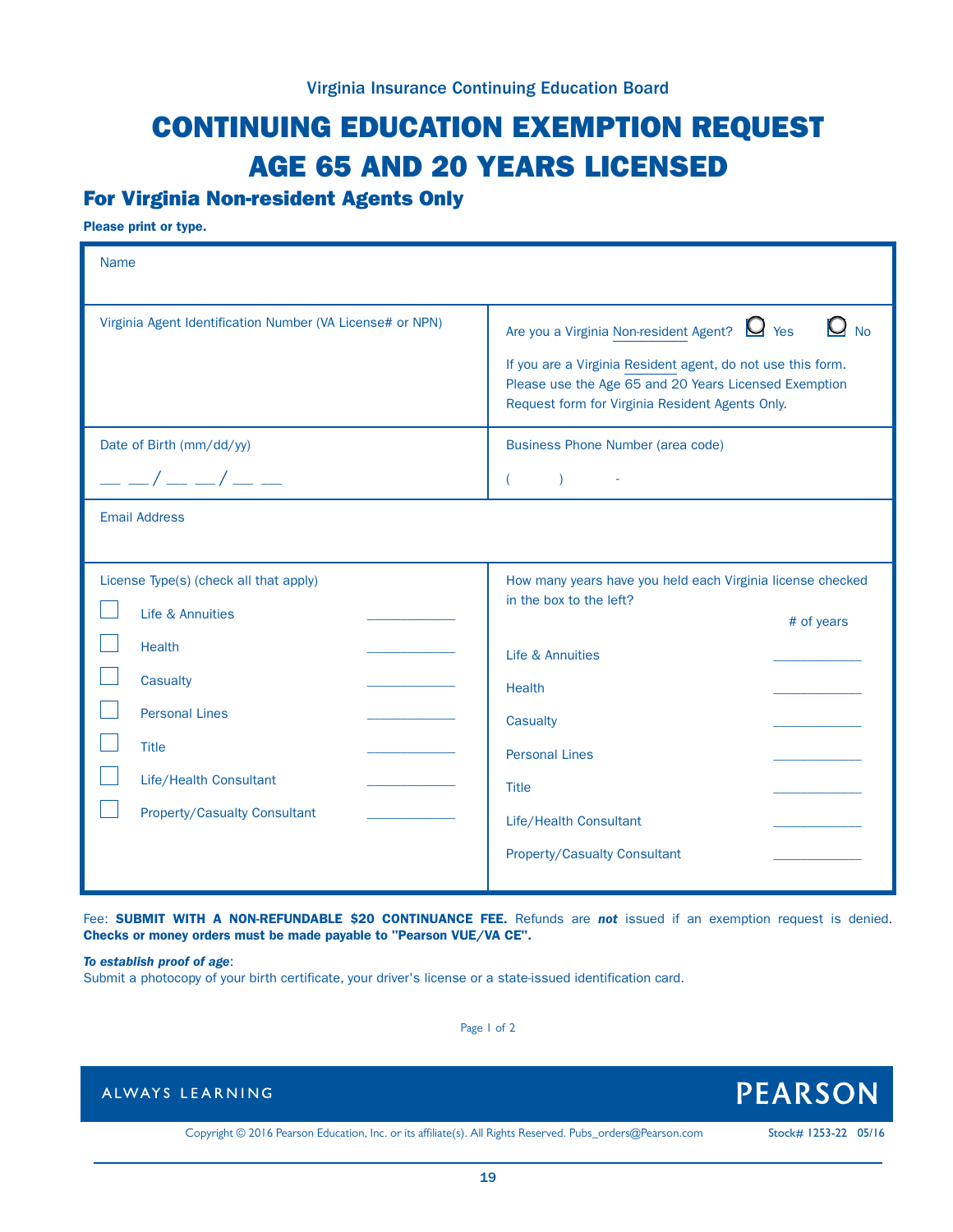# CONTINUING EDUCATION EXEMPTION REQUEST AGE 65 AND 20 YEARS LICENSED

## For Virginia Non-resident Agents Only

Please print or type.

| <b>Name</b>                                                                                                                                                                                       |                                                                                                                                                                                                                                                                |
|---------------------------------------------------------------------------------------------------------------------------------------------------------------------------------------------------|----------------------------------------------------------------------------------------------------------------------------------------------------------------------------------------------------------------------------------------------------------------|
| Virginia Agent Identification Number (VA License# or NPN)                                                                                                                                         | $Q_{\text{No}}$<br>Are you a Virginia Non-resident Agent? $\Box$ Yes<br>If you are a Virginia Resident agent, do not use this form.<br>Please use the Age 65 and 20 Years Licensed Exemption<br>Request form for Virginia Resident Agents Only.                |
| Date of Birth (mm/dd/yy)<br>$ -$ / $ -$ / $ -$                                                                                                                                                    | <b>Business Phone Number (area code)</b><br>$\sum_{i=1}^{n}$<br>$\left($                                                                                                                                                                                       |
| <b>Email Address</b>                                                                                                                                                                              |                                                                                                                                                                                                                                                                |
| License Type(s) (check all that apply)<br>Life & Annuities<br><b>Health</b><br>Casualty<br><b>Personal Lines</b><br><b>Title</b><br>Life/Health Consultant<br><b>Property/Casualty Consultant</b> | How many years have you held each Virginia license checked<br>in the box to the left?<br># of years<br>Life & Annuities<br><b>Health</b><br>Casualty<br><b>Personal Lines</b><br><b>Title</b><br>Life/Health Consultant<br><b>Property/Casualty Consultant</b> |

Fee: **SUBMIT WITH A NON-REFUNDABLE \$20 CONTINUANCE FEE.** Refunds are **not** issued if an exemption request is denied. Checks or money orders must be made payable to "Pearson VUE/VA CE".

*To establish proof of age*:

Submit a photocopy of your birth certificate, your driver's license or a state-issued identification card.

Page 1 of 2



Copyright © 2016 Pearson Education, Inc. or its affiliate(s). All Rights Reserved. Pubs\_orders@Pearson.com Stock# 1253-22 05/16

**PEARSON**